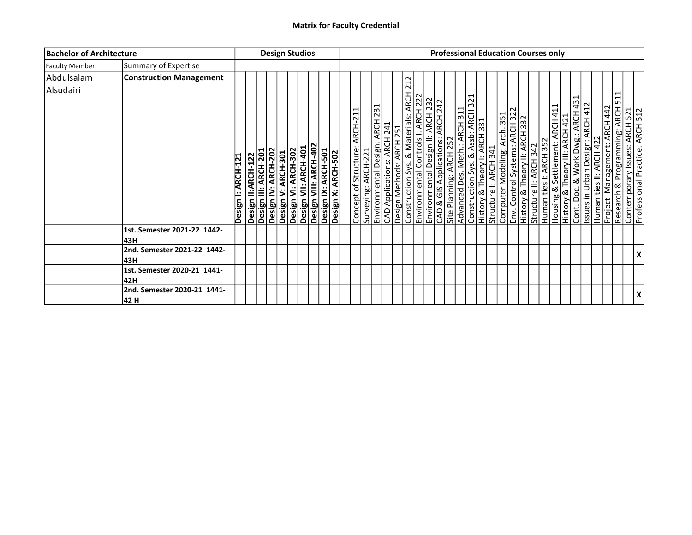| <b>Bachelor of Architecture</b> |                                     | <b>Design Studios</b>                                                                                                                                                                                                             | <b>Professional Education Courses only</b>                                                                                                                                                                                                                                                                                                                                                                                                                                                                                                                                                                                                                                                                                                                                                                                                                                                                                               |
|---------------------------------|-------------------------------------|-----------------------------------------------------------------------------------------------------------------------------------------------------------------------------------------------------------------------------------|------------------------------------------------------------------------------------------------------------------------------------------------------------------------------------------------------------------------------------------------------------------------------------------------------------------------------------------------------------------------------------------------------------------------------------------------------------------------------------------------------------------------------------------------------------------------------------------------------------------------------------------------------------------------------------------------------------------------------------------------------------------------------------------------------------------------------------------------------------------------------------------------------------------------------------------|
| <b>Faculty Member</b>           | Summary of Expertise                |                                                                                                                                                                                                                                   |                                                                                                                                                                                                                                                                                                                                                                                                                                                                                                                                                                                                                                                                                                                                                                                                                                                                                                                                          |
| Abdulsalam<br>Alsudairi         | <b>Construction Management</b>      | Desiğn VI: ARCH-302<br>Design VII: ARCH-401<br>Design VIII: ARCH-402<br>Design X: ARCH-501<br>Design X: ARCH-502<br>Design IV: ARCH-202<br>Design II:ARCH-122<br>Design III: ARCH-201<br>Design V: ARCH-301<br>Design I: ARCH-121 | 212<br>Environmental Design: ARCH 231<br>CAD Applications: ARCH 241<br>Design Methods: ARCH 251<br>Construction Sys. & Materials: ARCH 22<br>Environmental Design II: ARCH 232<br>CAD & GIS Applications: ARCH 232<br>⊣<br>Construction Sys. & Assb: ARCH 321<br> History & Theory I: ARCH 331<br> Structure I: ARCH 341<br> Computer Modeling: Arch 351<br> History & Theory II: ARCH 322<br> History & Theory II: ARCH 332<br>$\mathbf{\overline{d}}$<br>Housing & Settlement: ARCH 411<br>History & Theory III: ARCH 421<br>Cont. Doc. & Work Dwg.: ARCH 431<br>Humanities II: ARCH 422<br>Pusies: * * * *<br>Research & Programming: ARCH 5<br>Contemporary Issues: ARCH 521<br>Professional Practice: ARCH 512<br><b>ARCH 442</b><br>Advanced Des. Meth.: ARCH 311<br>Concept of Structure: ARCH-21<br>Site Planning: ARCH 252<br>Humanities I: ARCH 352<br>Management:<br>Structure II: ARCH 342<br>Surveying: ARCH-221<br>Project |
|                                 | 1st. Semester 2021-22 1442-<br>43H  |                                                                                                                                                                                                                                   |                                                                                                                                                                                                                                                                                                                                                                                                                                                                                                                                                                                                                                                                                                                                                                                                                                                                                                                                          |
|                                 | 2nd. Semester 2021-22 1442-<br>43H  |                                                                                                                                                                                                                                   | X                                                                                                                                                                                                                                                                                                                                                                                                                                                                                                                                                                                                                                                                                                                                                                                                                                                                                                                                        |
|                                 | 1st. Semester 2020-21 1441-<br>42H  |                                                                                                                                                                                                                                   |                                                                                                                                                                                                                                                                                                                                                                                                                                                                                                                                                                                                                                                                                                                                                                                                                                                                                                                                          |
|                                 | 2nd. Semester 2020-21 1441-<br>42 H |                                                                                                                                                                                                                                   | X                                                                                                                                                                                                                                                                                                                                                                                                                                                                                                                                                                                                                                                                                                                                                                                                                                                                                                                                        |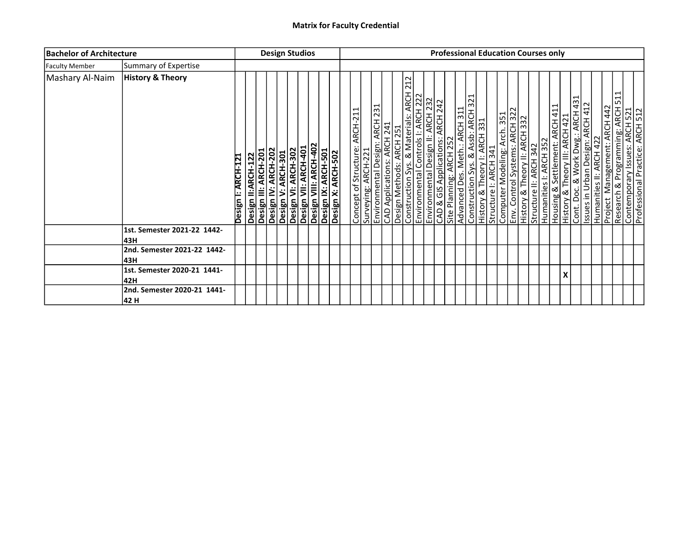| <b>Bachelor of Architecture</b> |                                      |                    |                                            | <b>Design Studios</b> |                    |                                                                                                                   |  |  |                               |                     |  |                                                                                                                                                                                                                     |                                  |                         |                               |  |  |                                                                                                                                                             |                        | <b>Professional Education Courses only</b>                                                                                                                                                |   |  |  |   |                                                                                                     |
|---------------------------------|--------------------------------------|--------------------|--------------------------------------------|-----------------------|--------------------|-------------------------------------------------------------------------------------------------------------------|--|--|-------------------------------|---------------------|--|---------------------------------------------------------------------------------------------------------------------------------------------------------------------------------------------------------------------|----------------------------------|-------------------------|-------------------------------|--|--|-------------------------------------------------------------------------------------------------------------------------------------------------------------|------------------------|-------------------------------------------------------------------------------------------------------------------------------------------------------------------------------------------|---|--|--|---|-----------------------------------------------------------------------------------------------------|
| <b>Faculty Member</b>           | Summary of Expertise                 |                    |                                            |                       |                    |                                                                                                                   |  |  |                               |                     |  |                                                                                                                                                                                                                     |                                  |                         |                               |  |  |                                                                                                                                                             |                        |                                                                                                                                                                                           |   |  |  |   |                                                                                                     |
| Mashary Al-Naim                 | <b>History &amp; Theory</b>          | Design I: ARCH-121 | Design II:ARCH-122<br>Design III: ARCH-201 | Design IV: ARCH-202   | Design V: ARCH-301 | Desiğn VI: ARCH-302<br>Design VII: ARCH-401<br>Design VIII: ARCH-402<br>Design IX: ARCH-501<br>Design X: ARCH-502 |  |  | Concept of Structure: ARCH-21 | Surveying: ARCH-221 |  | 212<br>Environmental Design: ARCH 231<br>CAD Applications: ARCH 241<br>Design Methods: ARCH 251<br>Construction Sys. & Materials: ARCH 22<br>Environmental Design II: ARCH 222<br>Environmental Design II: ARCH 232 | CAD & GIS Applications: ARCH 242 | Site Planning: ARCH 252 | Advanced Des. Meth.: ARCH 311 |  |  | Construction Sys. & Assb: ARCH 321<br>History & Theory I: ARCH 331<br>Structure I: ARCH 341<br>Computer Modeling: Arch 351<br>History & Theory II: ARCH 322 | Structure II: ARCH 342 | Humanities I: ARCH 352<br>Housing & Settlement: ARCH 411<br>History & Theory III: ARCH 421<br>Issues in Urban Design: ARCH 412<br>Humanities II: ARCH 422<br>Project Management: ARCH 442 |   |  |  | ⊣ | Research & Programming: ARCH 51<br>Contemporary Issues: ARCH 521<br>Professional Practice: ARCH 512 |
|                                 | 1st. Semester 2021-22 1442-<br>l43H  |                    |                                            |                       |                    |                                                                                                                   |  |  |                               |                     |  |                                                                                                                                                                                                                     |                                  |                         |                               |  |  |                                                                                                                                                             |                        |                                                                                                                                                                                           |   |  |  |   |                                                                                                     |
|                                 | 2nd. Semester 2021-22 1442-<br>l43H  |                    |                                            |                       |                    |                                                                                                                   |  |  |                               |                     |  |                                                                                                                                                                                                                     |                                  |                         |                               |  |  |                                                                                                                                                             |                        |                                                                                                                                                                                           |   |  |  |   |                                                                                                     |
|                                 | 1st. Semester 2020-21 1441-<br>42H   |                    |                                            |                       |                    |                                                                                                                   |  |  |                               |                     |  |                                                                                                                                                                                                                     |                                  |                         |                               |  |  |                                                                                                                                                             |                        |                                                                                                                                                                                           | X |  |  |   |                                                                                                     |
|                                 | 2nd. Semester 2020-21 1441-<br> 42 H |                    |                                            |                       |                    |                                                                                                                   |  |  |                               |                     |  |                                                                                                                                                                                                                     |                                  |                         |                               |  |  |                                                                                                                                                             |                        |                                                                                                                                                                                           |   |  |  |   |                                                                                                     |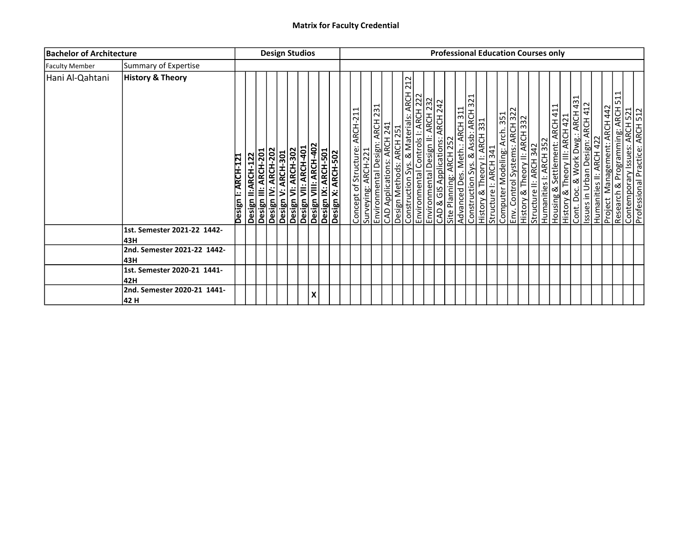| <b>Bachelor of Architecture</b> |                                      |                    |                                            |                     | <b>Design Studios</b> |                                                                                                                   |  |  |                                                      |  |                                                                                                                                                                                                                     |                                  |                         |                               | <b>Professional Education Courses only</b>                                                                                                                  |  |                        |                                                                                                                                                                                             |  |  |                                           |                                                                                                          |  |
|---------------------------------|--------------------------------------|--------------------|--------------------------------------------|---------------------|-----------------------|-------------------------------------------------------------------------------------------------------------------|--|--|------------------------------------------------------|--|---------------------------------------------------------------------------------------------------------------------------------------------------------------------------------------------------------------------|----------------------------------|-------------------------|-------------------------------|-------------------------------------------------------------------------------------------------------------------------------------------------------------|--|------------------------|---------------------------------------------------------------------------------------------------------------------------------------------------------------------------------------------|--|--|-------------------------------------------|----------------------------------------------------------------------------------------------------------|--|
| <b>Faculty Member</b>           | Summary of Expertise                 |                    |                                            |                     |                       |                                                                                                                   |  |  |                                                      |  |                                                                                                                                                                                                                     |                                  |                         |                               |                                                                                                                                                             |  |                        |                                                                                                                                                                                             |  |  |                                           |                                                                                                          |  |
| Hani Al-Qahtani                 | <b>History &amp; Theory</b>          | Design I: ARCH-121 | Design II:ARCH-122<br>Design III: ARCH-201 | Design IV: ARCH-202 | Design V: ARCH-301    | Desiğn VI: ARCH-302<br>Design VII: ARCH-401<br>Design VIII: ARCH-402<br>Design IX: ARCH-501<br>Design X: ARCH-502 |  |  | Concept of Structure: ARCH-21<br>Surveying: ARCH-221 |  | 212<br>Environmental Design: ARCH 231<br>CAD Applications: ARCH 241<br>Design Methods: ARCH 251<br>Construction Sys. & Materials: ARCH 22<br>Environmental Design II: ARCH 222<br>Environmental Design II: ARCH 232 | CAD & GIS Applications: ARCH 242 | Site Planning: ARCH 252 | Advanced Des. Meth.: ARCH 311 | Construction Sys. & Assb: ARCH 321<br>History & Theory I: ARCH 331<br>Structure I: ARCH 341<br>Computer Modeling: Arch 351<br>History & Theory II: ARCH 322 |  | Structure II: ARCH 342 | Humanities I: ARCH 352<br>Housing & Settlement: ARCH 411<br>History & Theory III: ARCH 421<br>Cont. Doc. & Work Dwg.: ARCH 431<br>Issues in Urban Design: ARCH 412<br>Incornect Product 122 |  |  | <b>ARCH 442</b><br>Management:<br>Project | ⊣<br>Research & Programming: ARCH 51<br>Contemporary Issues: ARCH 521<br>Professional Practice: ARCH 512 |  |
|                                 | 1st. Semester 2021-22 1442-<br>l43H  |                    |                                            |                     |                       |                                                                                                                   |  |  |                                                      |  |                                                                                                                                                                                                                     |                                  |                         |                               |                                                                                                                                                             |  |                        |                                                                                                                                                                                             |  |  |                                           |                                                                                                          |  |
|                                 | 2nd. Semester 2021-22 1442-<br>l43H  |                    |                                            |                     |                       |                                                                                                                   |  |  |                                                      |  |                                                                                                                                                                                                                     |                                  |                         |                               |                                                                                                                                                             |  |                        |                                                                                                                                                                                             |  |  |                                           |                                                                                                          |  |
|                                 | 1st. Semester 2020-21 1441-<br>42H   |                    |                                            |                     |                       |                                                                                                                   |  |  |                                                      |  |                                                                                                                                                                                                                     |                                  |                         |                               |                                                                                                                                                             |  |                        |                                                                                                                                                                                             |  |  |                                           |                                                                                                          |  |
|                                 | 2nd. Semester 2020-21 1441-<br> 42 H |                    |                                            |                     |                       |                                                                                                                   |  |  |                                                      |  |                                                                                                                                                                                                                     |                                  |                         |                               |                                                                                                                                                             |  |                        |                                                                                                                                                                                             |  |  |                                           |                                                                                                          |  |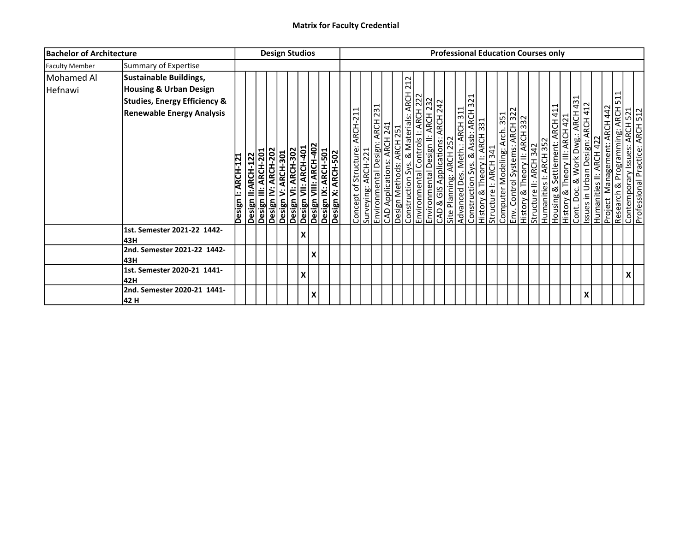| <b>Bachelor of Architecture</b> |                                         |                    |                                                                   | <b>Design Studios</b>                                                                                                                  |                           |                        |  |                                                       |                                                                                          |     |                                       |  |  |  | <b>Professional Education Courses only</b>                                                                                                                                                                                                |  |  |                                                                                                                                                                                                                  |                                           |                                                                                                      |  |
|---------------------------------|-----------------------------------------|--------------------|-------------------------------------------------------------------|----------------------------------------------------------------------------------------------------------------------------------------|---------------------------|------------------------|--|-------------------------------------------------------|------------------------------------------------------------------------------------------|-----|---------------------------------------|--|--|--|-------------------------------------------------------------------------------------------------------------------------------------------------------------------------------------------------------------------------------------------|--|--|------------------------------------------------------------------------------------------------------------------------------------------------------------------------------------------------------------------|-------------------------------------------|------------------------------------------------------------------------------------------------------|--|
| <b>Faculty Member</b>           | Summary of Expertise                    |                    |                                                                   |                                                                                                                                        |                           |                        |  |                                                       |                                                                                          |     |                                       |  |  |  |                                                                                                                                                                                                                                           |  |  |                                                                                                                                                                                                                  |                                           |                                                                                                      |  |
| Mohamed Al                      | Sustainable Buildings,                  |                    |                                                                   |                                                                                                                                        |                           |                        |  |                                                       |                                                                                          |     |                                       |  |  |  |                                                                                                                                                                                                                                           |  |  |                                                                                                                                                                                                                  |                                           |                                                                                                      |  |
| Hefnawi                         | <b>Housing &amp; Urban Design</b>       |                    |                                                                   |                                                                                                                                        |                           |                        |  |                                                       |                                                                                          | 212 |                                       |  |  |  |                                                                                                                                                                                                                                           |  |  |                                                                                                                                                                                                                  |                                           |                                                                                                      |  |
|                                 | <b>Studies, Energy Efficiency &amp;</b> |                    |                                                                   |                                                                                                                                        |                           |                        |  |                                                       |                                                                                          |     | $\frac{\overline{A}C}{\overline{A}L}$ |  |  |  |                                                                                                                                                                                                                                           |  |  |                                                                                                                                                                                                                  |                                           |                                                                                                      |  |
|                                 | <b>Renewable Energy Analysis</b>        |                    |                                                                   |                                                                                                                                        |                           |                        |  |                                                       |                                                                                          |     |                                       |  |  |  |                                                                                                                                                                                                                                           |  |  |                                                                                                                                                                                                                  |                                           |                                                                                                      |  |
|                                 |                                         | Design I: ARCH-121 | Design II:ARCH-122<br>Design III: ARCH-201<br>Design IV: ARCH-202 | Design V: ARCH-301<br>Design VI: ARCH-302<br>Design VII: ARCH-402<br>Design VIII: ARCH-402<br>Design X: ARCH-501<br>Design X: ARCH-502 |                           |                        |  | Concept of Structure: ARCH-211<br>Surveying: ARCH-221 | Environmental Design: ARCH 231<br>CAD Applications: ARCH 241<br>Design Methods: ARCH 251 |     |                                       |  |  |  | Construction Sys. & Materials: ARCH 2<br>Environmental Controls I: ARCH 222<br>Environmental Design II: ARCH 222<br>Site Planning: ARCH 252<br>Site Planning: ARCH 252<br>Advanced Des. Meth.: ARCH 311<br>Construction Sys. & Assb: ARCH |  |  | Structure II: ARCH 342<br>Humanities I: ARCH 352<br>Housing & Settlement: ARCH 421<br>Cont. Doc. & Work Dwg.: ARCH 431<br>Issues in Urban Design: ARCH 422<br>Humanities II: ARCH 422<br>Humanities II: ARCH 422 | <b>ARCH 442</b><br>Management:<br>Project | Research & Programming: ARCH 511<br>Contemporary Issues: ARCH 521<br>Professional Practice: ARCH 512 |  |
|                                 | 1st. Semester 2021-22 1442-             |                    |                                                                   |                                                                                                                                        | $\boldsymbol{\mathsf{x}}$ |                        |  |                                                       |                                                                                          |     |                                       |  |  |  |                                                                                                                                                                                                                                           |  |  |                                                                                                                                                                                                                  |                                           |                                                                                                      |  |
|                                 | 43H                                     |                    |                                                                   |                                                                                                                                        |                           |                        |  |                                                       |                                                                                          |     |                                       |  |  |  |                                                                                                                                                                                                                                           |  |  |                                                                                                                                                                                                                  |                                           |                                                                                                      |  |
|                                 | 2nd. Semester 2021-22 1442-<br>43H      |                    |                                                                   |                                                                                                                                        |                           | х                      |  |                                                       |                                                                                          |     |                                       |  |  |  |                                                                                                                                                                                                                                           |  |  |                                                                                                                                                                                                                  |                                           |                                                                                                      |  |
|                                 | 1st. Semester 2020-21 1441-             |                    |                                                                   |                                                                                                                                        | X                         |                        |  |                                                       |                                                                                          |     |                                       |  |  |  |                                                                                                                                                                                                                                           |  |  |                                                                                                                                                                                                                  |                                           | X                                                                                                    |  |
|                                 | 42H                                     |                    |                                                                   |                                                                                                                                        |                           |                        |  |                                                       |                                                                                          |     |                                       |  |  |  |                                                                                                                                                                                                                                           |  |  |                                                                                                                                                                                                                  |                                           |                                                                                                      |  |
|                                 | 2nd. Semester 2020-21 1441-<br>42 H     |                    |                                                                   |                                                                                                                                        |                           | $\boldsymbol{\lambda}$ |  |                                                       |                                                                                          |     |                                       |  |  |  |                                                                                                                                                                                                                                           |  |  | X                                                                                                                                                                                                                |                                           |                                                                                                      |  |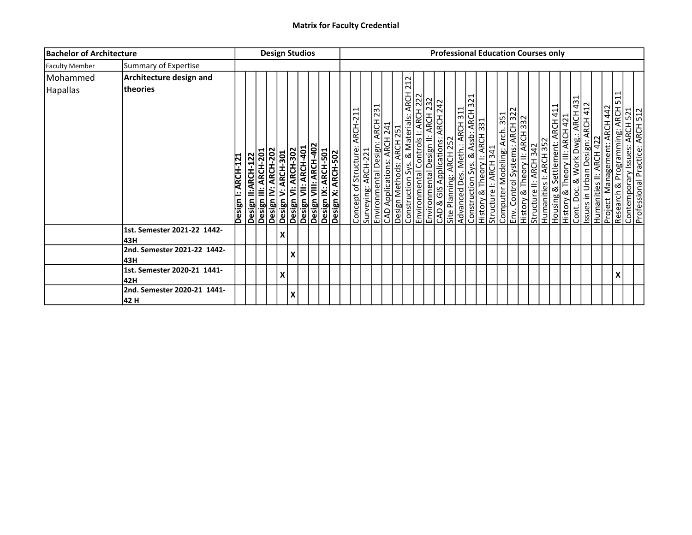| <b>Bachelor of Architecture</b> |                                            |                    |                                                                   |                    | <b>Design Studios</b>                                                                                                                  |  |  |                                                       |  |                                                                                                                                                                             |                                                                                                                                                                                                |                         |  |  | <b>Professional Education Courses only</b>                                                                                                                                                                                                   |  |  |                                                                                                                                                                 |  |                                                                                                          |  |
|---------------------------------|--------------------------------------------|--------------------|-------------------------------------------------------------------|--------------------|----------------------------------------------------------------------------------------------------------------------------------------|--|--|-------------------------------------------------------|--|-----------------------------------------------------------------------------------------------------------------------------------------------------------------------------|------------------------------------------------------------------------------------------------------------------------------------------------------------------------------------------------|-------------------------|--|--|----------------------------------------------------------------------------------------------------------------------------------------------------------------------------------------------------------------------------------------------|--|--|-----------------------------------------------------------------------------------------------------------------------------------------------------------------|--|----------------------------------------------------------------------------------------------------------|--|
| <b>Faculty Member</b>           | Summary of Expertise                       |                    |                                                                   |                    |                                                                                                                                        |  |  |                                                       |  |                                                                                                                                                                             |                                                                                                                                                                                                |                         |  |  |                                                                                                                                                                                                                                              |  |  |                                                                                                                                                                 |  |                                                                                                          |  |
| Mohammed                        | Architecture design and                    |                    |                                                                   |                    |                                                                                                                                        |  |  |                                                       |  |                                                                                                                                                                             |                                                                                                                                                                                                |                         |  |  |                                                                                                                                                                                                                                              |  |  |                                                                                                                                                                 |  |                                                                                                          |  |
| <b>Hapallas</b>                 | theories                                   | Design I: ARCH-121 | Design II:ARCH-122<br>Design III: ARCH-201<br>Design IV: ARCH-202 |                    | Desiğn V: ARCH-301<br>Design VI: ARCH-302<br>Design VII: ARCH-402<br>Design IX: ARCH-501<br>Design IX: ARCH-501<br>Design IX: ARCH-502 |  |  | Concept of Structure: ARCH-211<br>Surveying: ARCH-221 |  | 212<br>Environmental Design: ARCH 231<br>CAD Applications: ARCH 241<br>Design Methods: ARCH 251<br>Environmental Controls I: ARCH 222<br>Environmental Controls I: ARCH 222 | $\frac{\overline{ACH}}{\overline{A121}}$<br>Construction Sys. & Materials: ARCH<br>Environmental Controls I: ARCH 222<br>Environmental Design II: ARCH 232<br>CAD & GIS Applications: ARCH 242 | Site Planning: ARCH 252 |  |  | Advanced Des. Meth.: ARCH 311<br>Construction Sys. & Assb: ARCH 321<br>History & Theory I: ARCH 331<br>Structure I: ARCH 341<br>Computer Modeling: Arch 351<br>Env. Control Systems: ARCH 322<br>History & Theory II: ARCH 332<br>Humanities |  |  | Housing & Settlement: ARCH 411<br>History & Theory III: ARCH 421<br>Cont. Doc. & Work Dwg.: ARCH 431<br>Humanities II: ARCH 422<br>Project Management: ARCH 442 |  | ⊣<br>Research & Programming: ARCH 51<br>Contemporary Issues: ARCH 521<br>Professional Practice: ARCH 522 |  |
|                                 | 1st. Semester 2021-22 1442-                |                    |                                                                   | $\pmb{\mathsf{X}}$ |                                                                                                                                        |  |  |                                                       |  |                                                                                                                                                                             |                                                                                                                                                                                                |                         |  |  |                                                                                                                                                                                                                                              |  |  |                                                                                                                                                                 |  |                                                                                                          |  |
|                                 | l43H<br>2nd. Semester 2021-22 1442-<br>43H |                    |                                                                   |                    | X                                                                                                                                      |  |  |                                                       |  |                                                                                                                                                                             |                                                                                                                                                                                                |                         |  |  |                                                                                                                                                                                                                                              |  |  |                                                                                                                                                                 |  |                                                                                                          |  |
|                                 | 1st. Semester 2020-21 1441-<br>42H         |                    |                                                                   | X                  |                                                                                                                                        |  |  |                                                       |  |                                                                                                                                                                             |                                                                                                                                                                                                |                         |  |  |                                                                                                                                                                                                                                              |  |  |                                                                                                                                                                 |  |                                                                                                          |  |
|                                 | 2nd. Semester 2020-21 1441-<br>42 H        |                    |                                                                   |                    | X                                                                                                                                      |  |  |                                                       |  |                                                                                                                                                                             |                                                                                                                                                                                                |                         |  |  |                                                                                                                                                                                                                                              |  |  |                                                                                                                                                                 |  |                                                                                                          |  |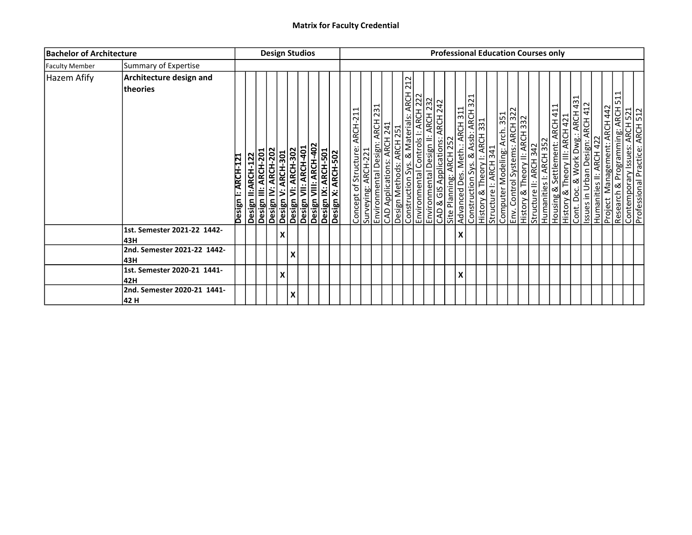| <b>Bachelor of Architecture</b> |                                     |                    |  | <b>Design Studios</b>                                             |                    |   |                                                                                                                                        |  |  |                                                       |                                                                                          |                                                                                                                                                               |                                          |  |   |  |  | <b>Professional Education Courses only</b>                                                                                                                                                                                                  |                        |  |                                                                                                                                                                     |  |                                                                                                                                      |  |
|---------------------------------|-------------------------------------|--------------------|--|-------------------------------------------------------------------|--------------------|---|----------------------------------------------------------------------------------------------------------------------------------------|--|--|-------------------------------------------------------|------------------------------------------------------------------------------------------|---------------------------------------------------------------------------------------------------------------------------------------------------------------|------------------------------------------|--|---|--|--|---------------------------------------------------------------------------------------------------------------------------------------------------------------------------------------------------------------------------------------------|------------------------|--|---------------------------------------------------------------------------------------------------------------------------------------------------------------------|--|--------------------------------------------------------------------------------------------------------------------------------------|--|
| <b>Faculty Member</b>           | Summary of Expertise                |                    |  |                                                                   |                    |   |                                                                                                                                        |  |  |                                                       |                                                                                          |                                                                                                                                                               |                                          |  |   |  |  |                                                                                                                                                                                                                                             |                        |  |                                                                                                                                                                     |  |                                                                                                                                      |  |
| <b>Hazem Afify</b>              | Architecture design and<br>theories | Design I: ARCH-121 |  | Design II:ARCH-122<br>Design III: ARCH-201<br>Design IV: ARCH-202 |                    |   | Design V: ARCH-301<br>Design VI: ARCH-302<br>Design VII: ARCH-402<br>Design VIII: ARCH-402<br>Design X: ARCH-501<br>Design X: ARCH-502 |  |  | Concept of Structure: ARCH-211<br>Surveying: ARCH-221 | Environmental Design: ARCH 231<br>CAD Applications: ARCH 241<br>Design Methods: ARCH 251 | 212<br>Construction Sys. & Materials: ARCH<br>Environmental Controls I: ARCH 222<br>CAD & GIS Applications: ARCH 242<br>Site Planning: ARCH 252<br>Advanced P | $\frac{\overline{ACH}}{\overline{A121}}$ |  |   |  |  | Advanced Des. Meth.: ARCH 311<br>Construction Sys. & Assb: ARCH 321<br>History & Theory I: ARCH 331<br>Structure I: ARCH 341<br>Computer Modeling: Arch 351<br>Env. Control Systems: ARCH 322<br>History & Theory II: ARCH 332<br>Structure | Humanities I: ARCH 352 |  | Housing & Settlement: ARCH 411<br>History & Theory III: ARCH 421<br>Cont. Doc. & Work Dwg.: ARCH 431<br>Issues in Urban Design: ARCH 412<br>Humanities II: ARCH 422 |  | Project Management: ARCH 442<br>Research & Programming: ARCH 511<br>Contemporary Issues: ARCH 521<br>Professional Practice: ARCH 512 |  |
|                                 | 1st. Semester 2021-22 1442-<br>43H  |                    |  |                                                                   | $\pmb{\mathsf{X}}$ |   |                                                                                                                                        |  |  |                                                       |                                                                                          |                                                                                                                                                               |                                          |  | X |  |  |                                                                                                                                                                                                                                             |                        |  |                                                                                                                                                                     |  |                                                                                                                                      |  |
|                                 | 2nd. Semester 2021-22 1442-<br>43H  |                    |  |                                                                   |                    | X |                                                                                                                                        |  |  |                                                       |                                                                                          |                                                                                                                                                               |                                          |  |   |  |  |                                                                                                                                                                                                                                             |                        |  |                                                                                                                                                                     |  |                                                                                                                                      |  |
|                                 | 1st. Semester 2020-21 1441-<br>42H  |                    |  |                                                                   | X                  |   |                                                                                                                                        |  |  |                                                       |                                                                                          |                                                                                                                                                               |                                          |  | X |  |  |                                                                                                                                                                                                                                             |                        |  |                                                                                                                                                                     |  |                                                                                                                                      |  |
|                                 | 2nd. Semester 2020-21 1441-<br>42 H |                    |  |                                                                   |                    | X |                                                                                                                                        |  |  |                                                       |                                                                                          |                                                                                                                                                               |                                          |  |   |  |  |                                                                                                                                                                                                                                             |                        |  |                                                                                                                                                                     |  |                                                                                                                                      |  |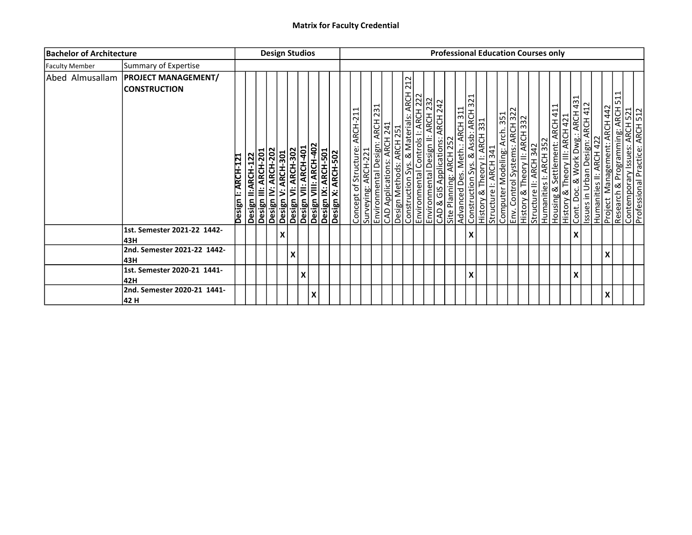| <b>Bachelor of Architecture</b> |                                                   |                    |                           | <b>Design Studios</b>                       |                                                                                                                        |   |                    |  |                                |                     |  |                                                                                                                                                                                                                     |                                  |                         |                               |   | <b>Professional Education Courses only</b>                                                                                                                                                        |  |                        |  |                                                                                                                                                                                                    |  |   |                                                                                                          |  |
|---------------------------------|---------------------------------------------------|--------------------|---------------------------|---------------------------------------------|------------------------------------------------------------------------------------------------------------------------|---|--------------------|--|--------------------------------|---------------------|--|---------------------------------------------------------------------------------------------------------------------------------------------------------------------------------------------------------------------|----------------------------------|-------------------------|-------------------------------|---|---------------------------------------------------------------------------------------------------------------------------------------------------------------------------------------------------|--|------------------------|--|----------------------------------------------------------------------------------------------------------------------------------------------------------------------------------------------------|--|---|----------------------------------------------------------------------------------------------------------|--|
| <b>Faculty Member</b>           | Summary of Expertise                              |                    |                           |                                             |                                                                                                                        |   |                    |  |                                |                     |  |                                                                                                                                                                                                                     |                                  |                         |                               |   |                                                                                                                                                                                                   |  |                        |  |                                                                                                                                                                                                    |  |   |                                                                                                          |  |
| Abed Almusallam                 | <b>PROJECT MANAGEMENT/</b><br><b>CONSTRUCTION</b> | Design I: ARCH-121 | <b>Design II:ARCH-122</b> | Design IV: ARCH-202<br>Design III: ARCH-201 | <b>Design V: ARCH-301</b><br>Design VI: ARCH-302<br>Design VII: ARCH-401<br>Design IX: ARCH-501<br>Design IX: ARCH-501 |   |                    |  | Concept of Structure: ARCH-211 | Surveying: ARCH-221 |  | 212<br>Environmental Design: ARCH 231<br>CAD Applications: ARCH 241<br>Design Methods: ARCH 251<br>Construction Sys. & Materials: ARCH 22<br>Environmental Design II: ARCH 222<br>Environmental Design II: ARCH 232 | CAD & GIS Applications: ARCH 242 | Site Planning: ARCH 252 | Advanced Des. Meth.: ARCH 311 |   | Construction Sys. & Assb: ARCH 321<br> History & Theory I: ARCH 331<br> Structure I: ARCH 341<br> Computer Modeling: Arch 351<br> History & Theory II: ARCH 322<br> History & Theory II: ARCH 332 |  | Structure II: ARCH 342 |  | Humanities I: ARCH 352<br>Housing & Settlement: ARCH 411<br>History & Theory III: ARCH 421<br>Cont. Doc. & Work Dwg.: ARCH 431<br>Issues in Urban Design: ARCH 412<br>Project Management: ARCH 442 |  |   | ⊣<br>Research & Programming: ARCH 51<br>Contemporary Issues: ARCH 521<br>Professional Practice: ARCH 522 |  |
|                                 | 1st. Semester 2021-22 1442-<br>l43H               |                    |                           |                                             | X                                                                                                                      |   |                    |  |                                |                     |  |                                                                                                                                                                                                                     |                                  |                         |                               | X |                                                                                                                                                                                                   |  |                        |  | $\boldsymbol{\mathsf{X}}$                                                                                                                                                                          |  |   |                                                                                                          |  |
|                                 | 2nd. Semester 2021-22 1442-<br>43H                |                    |                           |                                             |                                                                                                                        | X |                    |  |                                |                     |  |                                                                                                                                                                                                                     |                                  |                         |                               |   |                                                                                                                                                                                                   |  |                        |  |                                                                                                                                                                                                    |  | X |                                                                                                          |  |
|                                 | 1st. Semester 2020-21 1441-<br>42H                |                    |                           |                                             |                                                                                                                        |   | $\pmb{\mathsf{X}}$ |  |                                |                     |  |                                                                                                                                                                                                                     |                                  |                         |                               | Χ |                                                                                                                                                                                                   |  |                        |  | X                                                                                                                                                                                                  |  |   |                                                                                                          |  |
|                                 | 2nd. Semester 2020-21 1441-<br>42 H               |                    |                           |                                             |                                                                                                                        |   | X                  |  |                                |                     |  |                                                                                                                                                                                                                     |                                  |                         |                               |   |                                                                                                                                                                                                   |  |                        |  |                                                                                                                                                                                                    |  | X |                                                                                                          |  |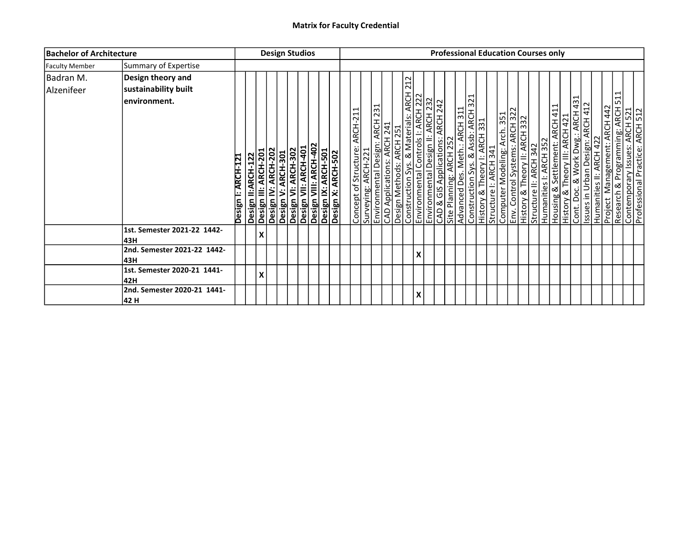| <b>Bachelor of Architecture</b> |                                                           |                    |   | <b>Design Studios</b>                                             |  |                                                                                                                                        |  |  |                                                              |  |                                                                                                                                                                                                                                                                                                                           |   |  |  |  |  | <b>Professional Education Courses only</b>                                                                                                                                                                                                   |  |  |                                                                                                                                                                 |  |                                                                                                                                             |   |  |
|---------------------------------|-----------------------------------------------------------|--------------------|---|-------------------------------------------------------------------|--|----------------------------------------------------------------------------------------------------------------------------------------|--|--|--------------------------------------------------------------|--|---------------------------------------------------------------------------------------------------------------------------------------------------------------------------------------------------------------------------------------------------------------------------------------------------------------------------|---|--|--|--|--|----------------------------------------------------------------------------------------------------------------------------------------------------------------------------------------------------------------------------------------------|--|--|-----------------------------------------------------------------------------------------------------------------------------------------------------------------|--|---------------------------------------------------------------------------------------------------------------------------------------------|---|--|
| <b>Faculty Member</b>           | Summary of Expertise                                      |                    |   |                                                                   |  |                                                                                                                                        |  |  |                                                              |  |                                                                                                                                                                                                                                                                                                                           |   |  |  |  |  |                                                                                                                                                                                                                                              |  |  |                                                                                                                                                                 |  |                                                                                                                                             |   |  |
| Badran M.<br>Alzenifeer         | Design theory and<br>sustainability built<br>environment. |                    |   |                                                                   |  |                                                                                                                                        |  |  | <u>Concept of Structure: ARCH-211</u><br>Surveying: ARCH-221 |  | 212<br>Construction Sys. & Materials: ARCH 2<br>Environmental Controls I: ARCH 222<br>CAD & GIS Applications: ARCH 232<br>Site Planning: ARCH 252<br>Environmental Design: ARCH 231<br>CAD Applications: ARCH 241<br>Design Methods: ARCH 251<br>Environmental Controls I: ARCH 222<br>Environmental Controls I: ARCH 222 |   |  |  |  |  | Advanced Des. Meth.: ARCH 311<br>Construction Sys. & Assb: ARCH 321<br>History & Theory I: ARCH 331<br>Structure I: ARCH 341<br>Computer Modeling: Arch 351<br>Env. Control Systems: ARCH 322<br>History & Theory II: ARCH 332<br>Humanities |  |  | Housing & Settlement: ARCH 411<br>History & Theory III: ARCH 421<br>Cont. Doc. & Work Dwg.: ARCH 431<br>Humanities II: ARCH 422<br>Project Management: ARCH 442 |  | <b>Project Management: ARCH 442</b><br>Research & Programming: ARCH 511<br>Contemporary Issues: ARCH 521<br>Professional Practice: ARCH 512 | ⊣ |  |
|                                 |                                                           | Design I: ARCH-121 |   | Design II:ARCH-122<br>Design III: ARCH-201<br>Design IV: ARCH-202 |  | Desiğn V: ARCH-301<br>Design VI: ARCH-302<br>Design VII: ARCH-402<br>Design IX: ARCH-501<br>Design IX: ARCH-501<br>Design IX: ARCH-502 |  |  |                                                              |  |                                                                                                                                                                                                                                                                                                                           |   |  |  |  |  |                                                                                                                                                                                                                                              |  |  |                                                                                                                                                                 |  |                                                                                                                                             |   |  |
|                                 | 1st. Semester 2021-22 1442-<br>l43H                       |                    | X |                                                                   |  |                                                                                                                                        |  |  |                                                              |  |                                                                                                                                                                                                                                                                                                                           |   |  |  |  |  |                                                                                                                                                                                                                                              |  |  |                                                                                                                                                                 |  |                                                                                                                                             |   |  |
|                                 | 2nd. Semester 2021-22 1442-<br>43H                        |                    |   |                                                                   |  |                                                                                                                                        |  |  |                                                              |  |                                                                                                                                                                                                                                                                                                                           | X |  |  |  |  |                                                                                                                                                                                                                                              |  |  |                                                                                                                                                                 |  |                                                                                                                                             |   |  |
|                                 | 1st. Semester 2020-21 1441-<br>42H                        |                    | X |                                                                   |  |                                                                                                                                        |  |  |                                                              |  |                                                                                                                                                                                                                                                                                                                           |   |  |  |  |  |                                                                                                                                                                                                                                              |  |  |                                                                                                                                                                 |  |                                                                                                                                             |   |  |
|                                 | 2nd. Semester 2020-21 1441-<br>42 H                       |                    |   |                                                                   |  |                                                                                                                                        |  |  |                                                              |  |                                                                                                                                                                                                                                                                                                                           | X |  |  |  |  |                                                                                                                                                                                                                                              |  |  |                                                                                                                                                                 |  |                                                                                                                                             |   |  |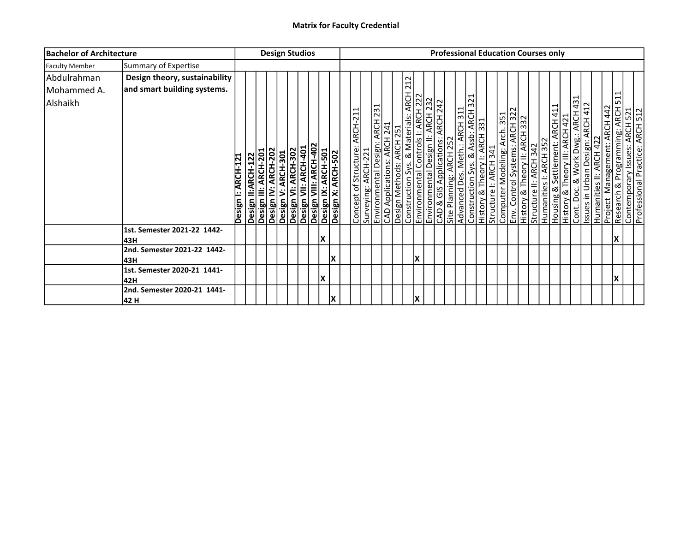| <b>Bachelor of Architecture</b>        |                                                              |                    |                                            |                     | <b>Design Studios</b> |  |                                                                                                                         |    |                                                      |  |                                                                                                                                                                                                                    | <b>Professional Education Courses only</b> |                         |                               |  |                                                                                                                                                             |                        |                        |                                                                                                                                                       |  |         |                                                                                                                                                                                     |  |
|----------------------------------------|--------------------------------------------------------------|--------------------|--------------------------------------------|---------------------|-----------------------|--|-------------------------------------------------------------------------------------------------------------------------|----|------------------------------------------------------|--|--------------------------------------------------------------------------------------------------------------------------------------------------------------------------------------------------------------------|--------------------------------------------|-------------------------|-------------------------------|--|-------------------------------------------------------------------------------------------------------------------------------------------------------------|------------------------|------------------------|-------------------------------------------------------------------------------------------------------------------------------------------------------|--|---------|-------------------------------------------------------------------------------------------------------------------------------------------------------------------------------------|--|
| <b>Faculty Member</b>                  | Summary of Expertise                                         |                    |                                            |                     |                       |  |                                                                                                                         |    |                                                      |  |                                                                                                                                                                                                                    |                                            |                         |                               |  |                                                                                                                                                             |                        |                        |                                                                                                                                                       |  |         |                                                                                                                                                                                     |  |
| Abdulrahman<br>Mohammed A.<br>Alshaikh | Design theory, sustainability<br>and smart building systems. | Design I: ARCH-121 | Design III: ARCH-201<br>Design II:ARCH-122 | Design IV: ARCH-202 | Design V: ARCH-301    |  | <b>Design VI: ARCH-302</b><br>Design VII: ARCH-401<br>Design VIII: ARCH-402<br>Design X: ARCH-501<br>Design X: ARCH-502 |    | Concept of Structure: ARCH-21<br>Surveying: ARCH-221 |  | 212<br>Environmental Design: ARCH 231<br>CAD Applications: ARCH 241<br>Design Methods: ARCH 251<br>Construction Sys. & Materials: ARCH 22<br>Environmental Design II: ARCH 222<br>CAD & GIS Applications: ARCH 232 |                                            | Site Planning: ARCH 252 | Advanced Des. Meth.: ARCH 311 |  | Construction Sys. & Assb: ARCH 321<br>History & Theory I: ARCH 331<br>Structure I: ARCH 341<br>Computer Modeling: Arch 351<br>History & Theory II: ARCH 322 | Structure II: ARCH 342 | Humanities I: ARCH 352 | Housing & Settlement: ARCH 411<br>History & Theory III: ARCH 421<br>Cont. Doc. & Work Dwg.: ARCH 431<br>Humanities II: ARCH 422<br>Pussiest March 122 |  | Project | $\mathbf{\mathbf{\mathsf{H}}}$<br>∣ ⊔∩<br><b>Project Management: ARCH 442</b><br>Research & Programming: ARCH 5<br>Contemporary Issues: ARCH 521<br>Professional Practice: ARCH 512 |  |
|                                        | 1st. Semester 2021-22 1442-<br>43H                           |                    |                                            |                     |                       |  | lχ                                                                                                                      |    |                                                      |  |                                                                                                                                                                                                                    |                                            |                         |                               |  |                                                                                                                                                             |                        |                        |                                                                                                                                                       |  |         | lХ                                                                                                                                                                                  |  |
|                                        | 2nd. Semester 2021-22 1442-<br>43H                           |                    |                                            |                     |                       |  |                                                                                                                         | lΧ |                                                      |  | lχ                                                                                                                                                                                                                 |                                            |                         |                               |  |                                                                                                                                                             |                        |                        |                                                                                                                                                       |  |         |                                                                                                                                                                                     |  |
|                                        | 1st. Semester 2020-21 1441-<br>42H                           |                    |                                            |                     |                       |  | X                                                                                                                       |    |                                                      |  |                                                                                                                                                                                                                    |                                            |                         |                               |  |                                                                                                                                                             |                        |                        |                                                                                                                                                       |  |         | lχ                                                                                                                                                                                  |  |
|                                        | 2nd. Semester 2020-21 1441-<br>42 H                          |                    |                                            |                     |                       |  |                                                                                                                         |    |                                                      |  | ΙX                                                                                                                                                                                                                 |                                            |                         |                               |  |                                                                                                                                                             |                        |                        |                                                                                                                                                       |  |         |                                                                                                                                                                                     |  |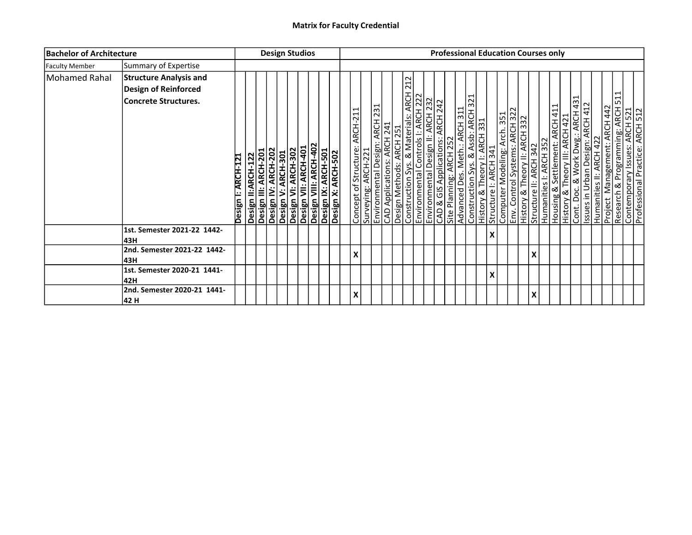| <b>Bachelor of Architecture</b> |                                                                                      |                    |                                            | <b>Design Studios</b> |  |                                                                                                                        |  |                                |                     |  |                                                                                                                                                                                                                     |  | <b>Professional Education Courses only</b> |                         |                               |                           |                                                                                                                                                             |   |                                                                                                                                                                                                                         |  |  |                                                |                                                                                                     |  |
|---------------------------------|--------------------------------------------------------------------------------------|--------------------|--------------------------------------------|-----------------------|--|------------------------------------------------------------------------------------------------------------------------|--|--------------------------------|---------------------|--|---------------------------------------------------------------------------------------------------------------------------------------------------------------------------------------------------------------------|--|--------------------------------------------|-------------------------|-------------------------------|---------------------------|-------------------------------------------------------------------------------------------------------------------------------------------------------------|---|-------------------------------------------------------------------------------------------------------------------------------------------------------------------------------------------------------------------------|--|--|------------------------------------------------|-----------------------------------------------------------------------------------------------------|--|
| <b>Faculty Member</b>           | Summary of Expertise                                                                 |                    |                                            |                       |  |                                                                                                                        |  |                                |                     |  |                                                                                                                                                                                                                     |  |                                            |                         |                               |                           |                                                                                                                                                             |   |                                                                                                                                                                                                                         |  |  |                                                |                                                                                                     |  |
| Mohamed Rahal                   | <b>Structure Analysis and</b><br>Design of Reinforced<br><b>Concrete Structures.</b> | Design I: ARCH-121 | Design II:ARCH-122<br>Design III: ARCH-201 | Design IV: ARCH-202   |  | <b>Design V: ARCH-301</b><br>Design VI: ARCH-302<br>Design VII: ARCH-401<br>Design IX: ARCH-501<br>Design IX: ARCH-501 |  | Concept of Structure: ARCH-211 | Surveying: ARCH-221 |  | 212<br>Environmental Design: ARCH 231<br>CAD Applications: ARCH 241<br>Design Methods: ARCH 251<br>Construction Sys. & Materials: ARCH 22<br>Environmental Design II: ARCH 222<br>Environmental Design II: ARCH 232 |  | CAD & GIS Applications: ARCH 242           | Site Planning: ARCH 252 | Advanced Des. Meth.: ARCH 311 |                           | Construction Sys. & Assb: ARCH 321<br>History & Theory I: ARCH 331<br>Structure I: ARCH 341<br>Computer Modeling: Arch 351<br>History & Theory II: ARCH 322 |   | Structure II: ARCH 342<br>Humanities I: ARCH 352<br>Housing & Settlement: ARCH 411<br>History & Theory III: ARCH 421<br>Cont. Doc. & Work Dwg.: ARCH 431<br>Issues in Urban Design: ARCH 412<br>Humanities II: ARCH 422 |  |  | ⊣<br><b>ARCH 442</b><br>Management:<br>Project | Research & Programming: ARCH 51<br>Contemporary Issues: ARCH 521<br>Professional Practice: ARCH 512 |  |
|                                 | 1st. Semester 2021-22 1442-<br>43H                                                   |                    |                                            |                       |  |                                                                                                                        |  |                                |                     |  |                                                                                                                                                                                                                     |  |                                            |                         |                               | $\boldsymbol{\mathsf{x}}$ |                                                                                                                                                             |   |                                                                                                                                                                                                                         |  |  |                                                |                                                                                                     |  |
|                                 | 2nd. Semester 2021-22 1442-<br>l43H                                                  |                    |                                            |                       |  |                                                                                                                        |  | X                              |                     |  |                                                                                                                                                                                                                     |  |                                            |                         |                               |                           |                                                                                                                                                             | X |                                                                                                                                                                                                                         |  |  |                                                |                                                                                                     |  |
|                                 | 1st. Semester 2020-21 1441-<br>l42H                                                  |                    |                                            |                       |  |                                                                                                                        |  |                                |                     |  |                                                                                                                                                                                                                     |  |                                            |                         |                               | X                         |                                                                                                                                                             |   |                                                                                                                                                                                                                         |  |  |                                                |                                                                                                     |  |
|                                 | 2nd. Semester 2020-21 1441-<br>42 H                                                  |                    |                                            |                       |  |                                                                                                                        |  | X                              |                     |  |                                                                                                                                                                                                                     |  |                                            |                         |                               |                           |                                                                                                                                                             | X |                                                                                                                                                                                                                         |  |  |                                                |                                                                                                     |  |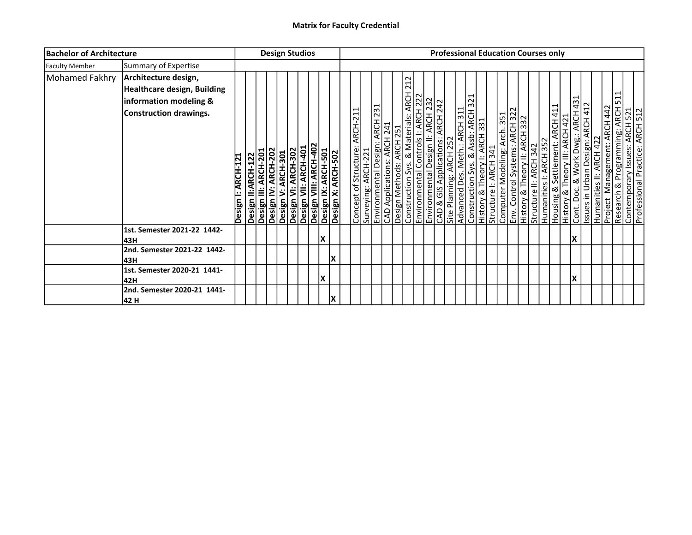| <b>Bachelor of Architecture</b> |                                                                                                                |                    |                                            |                     | <b>Design Studios</b> |                                                                                                                  |    |    |                                |                     |  |                                                                                                                                                                                                                     |                                  |                         |                               |  |  | <b>Professional Education Courses only</b>                                                                                                                                                        |                                                                                                                                                                                                                                               |  |    |  |   |                                                                                                     |  |
|---------------------------------|----------------------------------------------------------------------------------------------------------------|--------------------|--------------------------------------------|---------------------|-----------------------|------------------------------------------------------------------------------------------------------------------|----|----|--------------------------------|---------------------|--|---------------------------------------------------------------------------------------------------------------------------------------------------------------------------------------------------------------------|----------------------------------|-------------------------|-------------------------------|--|--|---------------------------------------------------------------------------------------------------------------------------------------------------------------------------------------------------|-----------------------------------------------------------------------------------------------------------------------------------------------------------------------------------------------------------------------------------------------|--|----|--|---|-----------------------------------------------------------------------------------------------------|--|
| <b>Faculty Member</b>           | Summary of Expertise                                                                                           |                    |                                            |                     |                       |                                                                                                                  |    |    |                                |                     |  |                                                                                                                                                                                                                     |                                  |                         |                               |  |  |                                                                                                                                                                                                   |                                                                                                                                                                                                                                               |  |    |  |   |                                                                                                     |  |
| Mohamed Fakhry                  | Architecture design,<br>Healthcare design, Building<br>information modeling &<br><b>Construction drawings.</b> | Design I: ARCH-121 | Design III: ARCH-201<br>Design II:ARCH-122 | Design IV: ARCH-202 | Design V: ARCH-301    | Desiğn VI: ARCH-302<br>Design VII: ARCH-401<br>Design VIII: ARCH-402<br>Design X: ARCH-501<br>Design X: ARCH-502 |    |    | Concept of Structure: ARCH-211 | Surveying: ARCH-221 |  | 212<br>Environmental Design: ARCH 231<br>CAD Applications: ARCH 241<br>Design Methods: ARCH 251<br>Construction Sys. & Materials: ARCH 22<br>Environmental Design II: ARCH 222<br>Environmental Design II: ARCH 232 | CAD & GIS Applications: ARCH 242 | Site Planning: ARCH 252 | Advanced Des. Meth.: ARCH 311 |  |  | Construction Sys. & Assb: ARCH 321<br> History & Theory I: ARCH 331<br> Structure I: ARCH 341<br> Computer Modeling: Arch 351<br> History & Theory II: ARCH 322<br> History & Theory II: ARCH 332 | Structure II: ARCH 342<br>Humanities I: ARCH 352<br>Housing & Settlement: ARCH 411<br>History & Theory III: ARCH 421<br>Cont. Doc. & Work Dwg.: ARCH 431<br>Issues in Urban Design: ARCH 412<br>Humanities II: ARCH 422<br>Project Management |  |    |  | ⊣ | Research & Programming: ARCH 51<br>Contemporary Issues: ARCH 521<br>Professional Practice: ARCH 522 |  |
|                                 | 1st. Semester 2021-22 1442-<br>l43H                                                                            |                    |                                            |                     |                       |                                                                                                                  | ΙX |    |                                |                     |  |                                                                                                                                                                                                                     |                                  |                         |                               |  |  |                                                                                                                                                                                                   |                                                                                                                                                                                                                                               |  | X  |  |   |                                                                                                     |  |
|                                 | 2nd. Semester 2021-22 1442-<br> 43H                                                                            |                    |                                            |                     |                       |                                                                                                                  |    | lΧ |                                |                     |  |                                                                                                                                                                                                                     |                                  |                         |                               |  |  |                                                                                                                                                                                                   |                                                                                                                                                                                                                                               |  |    |  |   |                                                                                                     |  |
|                                 | 1st. Semester 2020-21 1441-<br>42H                                                                             |                    |                                            |                     |                       |                                                                                                                  | ΙX |    |                                |                     |  |                                                                                                                                                                                                                     |                                  |                         |                               |  |  |                                                                                                                                                                                                   |                                                                                                                                                                                                                                               |  | ΙX |  |   |                                                                                                     |  |
|                                 | 2nd. Semester 2020-21 1441-<br> 42 H                                                                           |                    |                                            |                     |                       |                                                                                                                  |    | lχ |                                |                     |  |                                                                                                                                                                                                                     |                                  |                         |                               |  |  |                                                                                                                                                                                                   |                                                                                                                                                                                                                                               |  |    |  |   |                                                                                                     |  |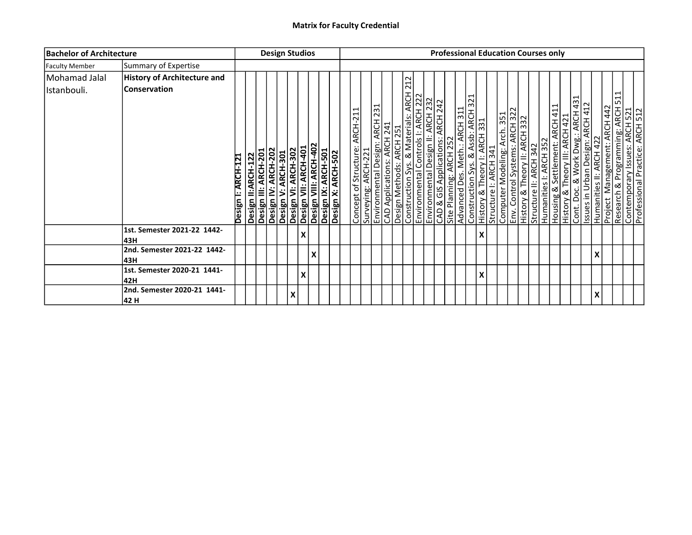| <b>Bachelor of Architecture</b> |                                                           |                    |                                            | <b>Design Studios</b> |   |                                                                                                                        |   |  |                               |                     |  |                                                                                                                                                                                                                      |  | <b>Professional Education Courses only</b>                  |                               |                           |  |                                                                                                                                                             |  |  |                                                                                                                                                                                                                         |   |                                           |                                                                                                          |  |
|---------------------------------|-----------------------------------------------------------|--------------------|--------------------------------------------|-----------------------|---|------------------------------------------------------------------------------------------------------------------------|---|--|-------------------------------|---------------------|--|----------------------------------------------------------------------------------------------------------------------------------------------------------------------------------------------------------------------|--|-------------------------------------------------------------|-------------------------------|---------------------------|--|-------------------------------------------------------------------------------------------------------------------------------------------------------------|--|--|-------------------------------------------------------------------------------------------------------------------------------------------------------------------------------------------------------------------------|---|-------------------------------------------|----------------------------------------------------------------------------------------------------------|--|
| <b>Faculty Member</b>           | Summary of Expertise                                      |                    |                                            |                       |   |                                                                                                                        |   |  |                               |                     |  |                                                                                                                                                                                                                      |  |                                                             |                               |                           |  |                                                                                                                                                             |  |  |                                                                                                                                                                                                                         |   |                                           |                                                                                                          |  |
| Mohamad Jalal<br>Istanbouli.    | <b>History of Architecture and</b><br><b>Conservation</b> | Design I: ARCH-121 | Design II:ARCH-122<br>Design III: ARCH-201 | Design IV: ARCH-202   |   | <b>Design V: ARCH-301</b><br>Design VI: ARCH-302<br>Design VII: ARCH-401<br>Design IX: ARCH-501<br>Design IX: ARCH-501 |   |  | Concept of Structure: ARCH-21 | Surveying: ARCH-221 |  | 212<br>Environmental Design: ARCH 231<br>CAD Applications: ARCH 241<br>Design Methods: ARCH 251<br>Construction Sys. & Materials: ARCH 22<br>Environmental Controls I: ARCH 222<br>Environmental Design II: ARCH 222 |  | CAD & GIS Applications: ARCH 242<br>Site Planning: ARCH 252 | Advanced Des. Meth.: ARCH 311 |                           |  | Construction Sys. & Assb: ARCH 321<br>History & Theory I: ARCH 331<br>Structure I: ARCH 341<br>Computer Modeling: Arch 351<br>History & Theory II: ARCH 322 |  |  | Structure II: ARCH 342<br>Humanities I: ARCH 352<br>Housing & Settlement: ARCH 411<br>History & Theory III: ARCH 421<br>Cont. Doc. & Work Dwg.: ARCH 431<br>Issues in Urban Design: ARCH 412<br>Humanities II: ARCH 422 |   | <b>ARCH 442</b><br>Management:<br>Project | ⊣<br>Research & Programming: ARCH 51<br>Contemporary Issues: ARCH 521<br>Professional Practice: ARCH 512 |  |
|                                 | 1st. Semester 2021-22 1442-<br>l43H                       |                    |                                            |                       |   | $\boldsymbol{\mathsf{x}}$                                                                                              |   |  |                               |                     |  |                                                                                                                                                                                                                      |  |                                                             |                               | $\boldsymbol{\mathsf{x}}$ |  |                                                                                                                                                             |  |  |                                                                                                                                                                                                                         |   |                                           |                                                                                                          |  |
|                                 | 2nd. Semester 2021-22 1442-<br>l43H                       |                    |                                            |                       |   |                                                                                                                        | X |  |                               |                     |  |                                                                                                                                                                                                                      |  |                                                             |                               |                           |  |                                                                                                                                                             |  |  |                                                                                                                                                                                                                         | v |                                           |                                                                                                          |  |
|                                 | 1st. Semester 2020-21 1441-<br>l42H                       |                    |                                            |                       |   | X                                                                                                                      |   |  |                               |                     |  |                                                                                                                                                                                                                      |  |                                                             |                               | X                         |  |                                                                                                                                                             |  |  |                                                                                                                                                                                                                         |   |                                           |                                                                                                          |  |
|                                 | 2nd. Semester 2020-21 1441-<br>42 H                       |                    |                                            |                       | X |                                                                                                                        |   |  |                               |                     |  |                                                                                                                                                                                                                      |  |                                                             |                               |                           |  |                                                                                                                                                             |  |  |                                                                                                                                                                                                                         | X |                                           |                                                                                                          |  |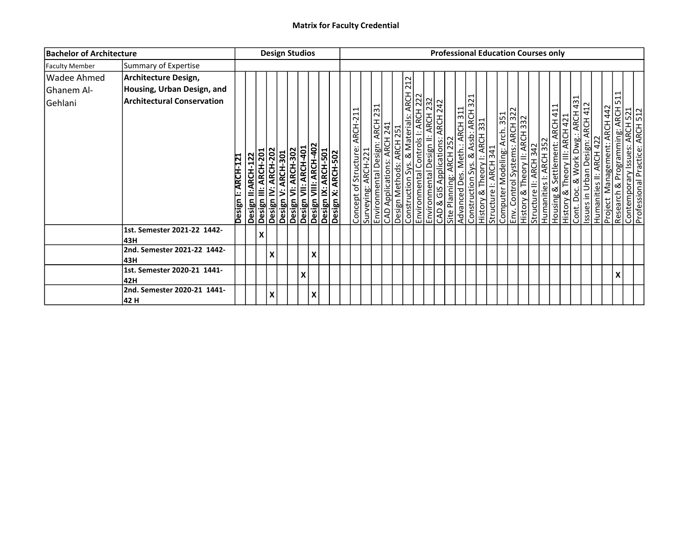| <b>Bachelor of Architecture</b>             |                                                                                         |                    |                                                                   | <b>Design Studios</b> |                                                                                           |   |                                                                    |  |                                                       |  |                                                                                                                                                                                                                                                                                                                                                                                                                                 |                                       |  |  |  | <b>Professional Education Courses only</b> |                                                       |  |                                                                                                                                          |  |                                           |                                                                                                      |
|---------------------------------------------|-----------------------------------------------------------------------------------------|--------------------|-------------------------------------------------------------------|-----------------------|-------------------------------------------------------------------------------------------|---|--------------------------------------------------------------------|--|-------------------------------------------------------|--|---------------------------------------------------------------------------------------------------------------------------------------------------------------------------------------------------------------------------------------------------------------------------------------------------------------------------------------------------------------------------------------------------------------------------------|---------------------------------------|--|--|--|--------------------------------------------|-------------------------------------------------------|--|------------------------------------------------------------------------------------------------------------------------------------------|--|-------------------------------------------|------------------------------------------------------------------------------------------------------|
| <b>Faculty Member</b>                       | Summary of Expertise                                                                    |                    |                                                                   |                       |                                                                                           |   |                                                                    |  |                                                       |  |                                                                                                                                                                                                                                                                                                                                                                                                                                 |                                       |  |  |  |                                            |                                                       |  |                                                                                                                                          |  |                                           |                                                                                                      |
| <b>Wadee Ahmed</b><br>Ghanem Al-<br>Gehlani | Architecture Design,<br>Housing, Urban Design, and<br><b>Architectural Conservation</b> | Design I: ARCH-121 | Design II:ARCH-122<br>Design III: ARCH-201<br>Design IV: ARCH-202 |                       | Design V: ARCH-301<br>Design VI: ARCH-302<br>Design VII: ARCH-401<br>Design VII: ARCH-401 |   | Design VIII: ARCH-402<br>Design IX: ARCH-501<br>Design X: ARCH-502 |  | Concept of Structure: ARCH-211<br>Surveying: ARCH-221 |  | 212<br>Construction Sys. & Materials: ARCH 2<br>Environmental Controls I: ARCH 222<br>Environmental Design II: ARCH 222<br>Site Planning: ARCH 252<br>Site Planning: ARCH 252<br>Advanced Des. Meth.: ARCH 311<br>Construction Sys. & Assb: ARCH<br><b>Environmental Design: ARCH 231</b><br>CAD Applications: ARCH 241<br>Design Methods: ARCH 251<br>Environmental Controls I: ARCH 222<br>Environmental Controls I: ARCH 222 | $\frac{\overline{A}C}{\overline{A}L}$ |  |  |  |                                            | Structure II: ARCH 342<br>Humanities I: ARCH 352<br>. |  | Housing & Settlement: ARCH 411<br>History & Theory III: ARCH 421<br>Cont. Doc. & Work Dwg.: ARCH 431<br>Issues in Urban Design: ARCH 412 |  | <b>ARCH 442</b><br>Management:<br>Project | Research & Programming: ARCH 511<br>Contemporary Issues: ARCH 521<br>Professional Practice: ARCH 512 |
|                                             | 1st. Semester 2021-22 1442-<br>43H                                                      |                    |                                                                   | X                     |                                                                                           |   |                                                                    |  |                                                       |  |                                                                                                                                                                                                                                                                                                                                                                                                                                 |                                       |  |  |  |                                            |                                                       |  |                                                                                                                                          |  |                                           |                                                                                                      |
|                                             | 2nd. Semester 2021-22 1442-<br>43H                                                      |                    |                                                                   | X                     |                                                                                           |   | X                                                                  |  |                                                       |  |                                                                                                                                                                                                                                                                                                                                                                                                                                 |                                       |  |  |  |                                            |                                                       |  |                                                                                                                                          |  |                                           |                                                                                                      |
|                                             | 1st. Semester 2020-21 1441-<br>42H                                                      |                    |                                                                   |                       |                                                                                           | X |                                                                    |  |                                                       |  |                                                                                                                                                                                                                                                                                                                                                                                                                                 |                                       |  |  |  |                                            |                                                       |  |                                                                                                                                          |  |                                           |                                                                                                      |
|                                             | 2nd. Semester 2020-21 1441-<br>42 H                                                     |                    |                                                                   | Χ                     |                                                                                           |   | X                                                                  |  |                                                       |  |                                                                                                                                                                                                                                                                                                                                                                                                                                 |                                       |  |  |  |                                            |                                                       |  |                                                                                                                                          |  |                                           |                                                                                                      |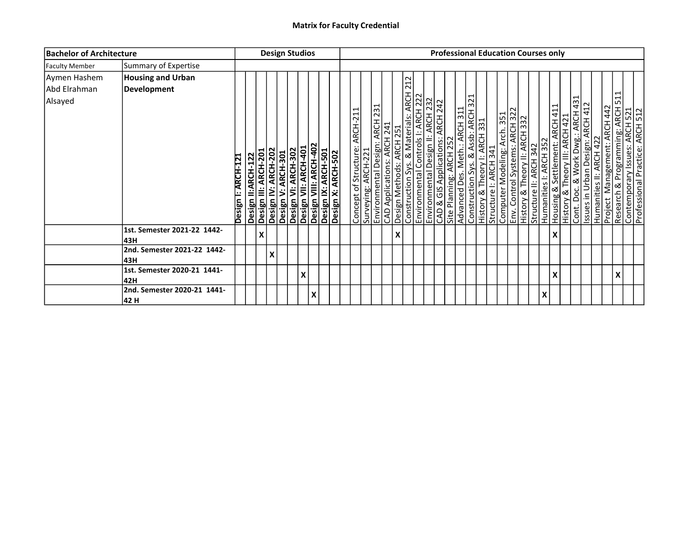| <b>Bachelor of Architecture</b>         |                                         |                    |                    |                      |                     |                    | <b>Design Studios</b>                                                                                            |   |  |                                |                     |                           |                                                                                                                                                                                                                     |  |                                                             |                               |  |  | <b>Professional Education Courses only</b>                                                                                                                                                        |                        |   |   |                                                                                                                                                                                                    |  |                                                                                                          |  |
|-----------------------------------------|-----------------------------------------|--------------------|--------------------|----------------------|---------------------|--------------------|------------------------------------------------------------------------------------------------------------------|---|--|--------------------------------|---------------------|---------------------------|---------------------------------------------------------------------------------------------------------------------------------------------------------------------------------------------------------------------|--|-------------------------------------------------------------|-------------------------------|--|--|---------------------------------------------------------------------------------------------------------------------------------------------------------------------------------------------------|------------------------|---|---|----------------------------------------------------------------------------------------------------------------------------------------------------------------------------------------------------|--|----------------------------------------------------------------------------------------------------------|--|
| <b>Faculty Member</b>                   | Summary of Expertise                    |                    |                    |                      |                     |                    |                                                                                                                  |   |  |                                |                     |                           |                                                                                                                                                                                                                     |  |                                                             |                               |  |  |                                                                                                                                                                                                   |                        |   |   |                                                                                                                                                                                                    |  |                                                                                                          |  |
| Aymen Hashem<br>Abd Elrahman<br>Alsayed | <b>Housing and Urban</b><br>Development | Design I: ARCH-121 | Design II:ARCH-122 | Design III: ARCH-201 | Design IV: ARCH-202 | Design V: ARCH-301 | Desiğn VI: ARCH-302<br>Design VII: ARCH-401<br>Design VIII: ARCH-402<br>Design X: ARCH-501<br>Design X: ARCH-502 |   |  | Concept of Structure: ARCH-211 | Surveying: ARCH-221 |                           | 212<br>Environmental Design: ARCH 231<br>CAD Applications: ARCH 241<br>Design Methods: ARCH 251<br>Construction Sys. & Materials: ARCH 22<br>Environmental Design II: ARCH 222<br>Environmental Design II: ARCH 232 |  | CAD & GIS Applications: ARCH 242<br>Site Planning: ARCH 252 | Advanced Des. Meth.: ARCH 311 |  |  | Construction Sys. & Assb: ARCH 321<br> History & Theory I: ARCH 331<br> Structure I: ARCH 341<br> Computer Modeling: Arch 351<br> History & Theory II: ARCH 322<br> History & Theory II: ARCH 332 | Structure II: ARCH 342 |   |   | Humanities I: ARCH 352<br>Housing & Settlement: ARCH 411<br>History & Theory III: ARCH 421<br>Cont. Doc. & Work Dwg.: ARCH 431<br>Issues in Urban Design: ARCH 412<br>Project Management: ARCH 442 |  | ⊣<br>Research & Programming: ARCH 51<br>Contemporary Issues: ARCH 521<br>Professional Practice: ARCH 512 |  |
|                                         | 1st. Semester 2021-22 1442-<br>l43H     |                    |                    | Χ                    |                     |                    |                                                                                                                  |   |  |                                |                     | $\boldsymbol{\mathsf{X}}$ |                                                                                                                                                                                                                     |  |                                                             |                               |  |  |                                                                                                                                                                                                   |                        |   | X |                                                                                                                                                                                                    |  |                                                                                                          |  |
|                                         | 2nd. Semester 2021-22 1442-<br> 43H     |                    |                    |                      | $\pmb{\mathsf{X}}$  |                    |                                                                                                                  |   |  |                                |                     |                           |                                                                                                                                                                                                                     |  |                                                             |                               |  |  |                                                                                                                                                                                                   |                        |   |   |                                                                                                                                                                                                    |  |                                                                                                          |  |
|                                         | 1st. Semester 2020-21 1441-<br>42H      |                    |                    |                      |                     |                    | X                                                                                                                |   |  |                                |                     |                           |                                                                                                                                                                                                                     |  |                                                             |                               |  |  |                                                                                                                                                                                                   |                        |   | X |                                                                                                                                                                                                    |  |                                                                                                          |  |
|                                         | 2nd. Semester 2020-21 1441-<br> 42 H    |                    |                    |                      |                     |                    |                                                                                                                  | X |  |                                |                     |                           |                                                                                                                                                                                                                     |  |                                                             |                               |  |  |                                                                                                                                                                                                   |                        | X |   |                                                                                                                                                                                                    |  |                                                                                                          |  |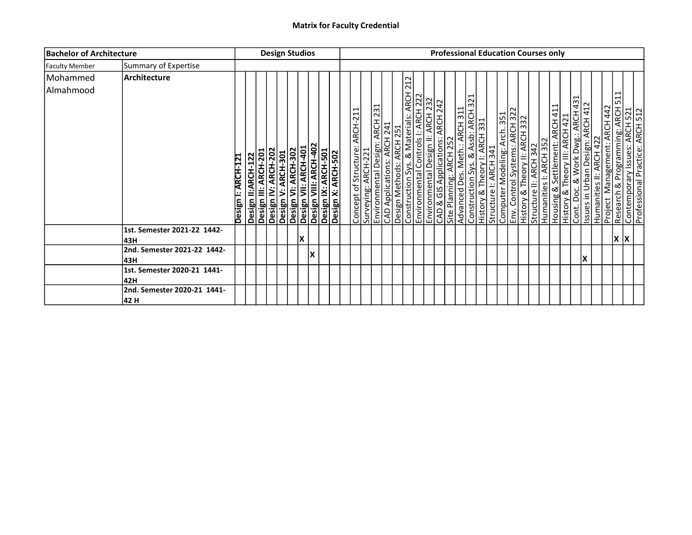| <b>Bachelor of Architecture</b> |                                     |                    |                                                                   | <b>Design Studios</b> |   |                                                                                                                                      |  |                                |                     |                                                                                          |  |                                |                                                                                                                                                        |  |  |  | <b>Professional Education Courses only</b>                                                                                                                                                                                                          |  |  |                                                                                                                                                                     |  |                                                                                                                                                 |   |  |
|---------------------------------|-------------------------------------|--------------------|-------------------------------------------------------------------|-----------------------|---|--------------------------------------------------------------------------------------------------------------------------------------|--|--------------------------------|---------------------|------------------------------------------------------------------------------------------|--|--------------------------------|--------------------------------------------------------------------------------------------------------------------------------------------------------|--|--|--|-----------------------------------------------------------------------------------------------------------------------------------------------------------------------------------------------------------------------------------------------------|--|--|---------------------------------------------------------------------------------------------------------------------------------------------------------------------|--|-------------------------------------------------------------------------------------------------------------------------------------------------|---|--|
| <b>Faculty Member</b>           | Summary of Expertise                |                    |                                                                   |                       |   |                                                                                                                                      |  |                                |                     |                                                                                          |  |                                |                                                                                                                                                        |  |  |  |                                                                                                                                                                                                                                                     |  |  |                                                                                                                                                                     |  |                                                                                                                                                 |   |  |
| Mohammed                        | Architecture                        |                    |                                                                   |                       |   |                                                                                                                                      |  |                                |                     |                                                                                          |  |                                |                                                                                                                                                        |  |  |  |                                                                                                                                                                                                                                                     |  |  |                                                                                                                                                                     |  |                                                                                                                                                 |   |  |
| Almahmood                       |                                     | Design I: ARCH-121 | Design II:ARCH-122<br>Design III: ARCH-201<br>Design IV: ARCH-202 |                       |   | Desiğn V: ARCH-301<br>Design VI: ARCH-302<br>Design VII: ARCH-402<br>Design IX: ARCH-501<br>Design X: ARCH-501<br>Design X: ARCH-502 |  | Concept of Structure: ARCH-211 | Surveying: ARCH-221 | Environmental Design: ARCH 231<br>CAD Applications: ARCH 241<br>Design Methods: ARCH 251 |  | 212<br>$\frac{1}{\frac{4}{2}}$ | Construction Sys. & Materials: ARCH<br>Environmental Controls I: ARCH 222<br>CAD & GIS Applications: ARCH 242<br>Site Planning: ARCH 252<br>Advanced P |  |  |  | Advanced Des. Meth.: ARCH 311<br>  Advanced Des. Meth.: ARCH 311<br>  History & Theory I: ARCH 331<br>  Structure I: ARCH 341<br>  Computer Modeling: Arch 351<br>  Env. Control Systems: ARCH 322<br>  Humanities I: ARCH 332<br>  Humanities I: A |  |  | Housing & Settlement: ARCH 411<br>History & Theory III: ARCH 421<br>Cont. Doc. & Work Dwg.: ARCH 431<br>Issues in Urban Design: ARCH 412<br>Humanities II: ARCH 422 |  | Project Management: ARCH 442<br>Research & Programming: ARCH 511<br>Contemporary Issues: ARCH 521<br>Professional Practice: ARCH 512<br>Project | 1 |  |
|                                 |                                     |                    |                                                                   |                       |   |                                                                                                                                      |  |                                |                     |                                                                                          |  |                                |                                                                                                                                                        |  |  |  |                                                                                                                                                                                                                                                     |  |  |                                                                                                                                                                     |  |                                                                                                                                                 |   |  |
|                                 | 1st. Semester 2021-22 1442-<br>l43H |                    |                                                                   |                       | X |                                                                                                                                      |  |                                |                     |                                                                                          |  |                                |                                                                                                                                                        |  |  |  |                                                                                                                                                                                                                                                     |  |  |                                                                                                                                                                     |  | İΧ                                                                                                                                              |   |  |
|                                 | 2nd. Semester 2021-22 1442-<br>l43H |                    |                                                                   |                       |   | ΙX                                                                                                                                   |  |                                |                     |                                                                                          |  |                                |                                                                                                                                                        |  |  |  |                                                                                                                                                                                                                                                     |  |  | X                                                                                                                                                                   |  |                                                                                                                                                 |   |  |
|                                 | 1st. Semester 2020-21 1441-<br>42H  |                    |                                                                   |                       |   |                                                                                                                                      |  |                                |                     |                                                                                          |  |                                |                                                                                                                                                        |  |  |  |                                                                                                                                                                                                                                                     |  |  |                                                                                                                                                                     |  |                                                                                                                                                 |   |  |
|                                 | 2nd. Semester 2020-21 1441-<br>42 H |                    |                                                                   |                       |   |                                                                                                                                      |  |                                |                     |                                                                                          |  |                                |                                                                                                                                                        |  |  |  |                                                                                                                                                                                                                                                     |  |  |                                                                                                                                                                     |  |                                                                                                                                                 |   |  |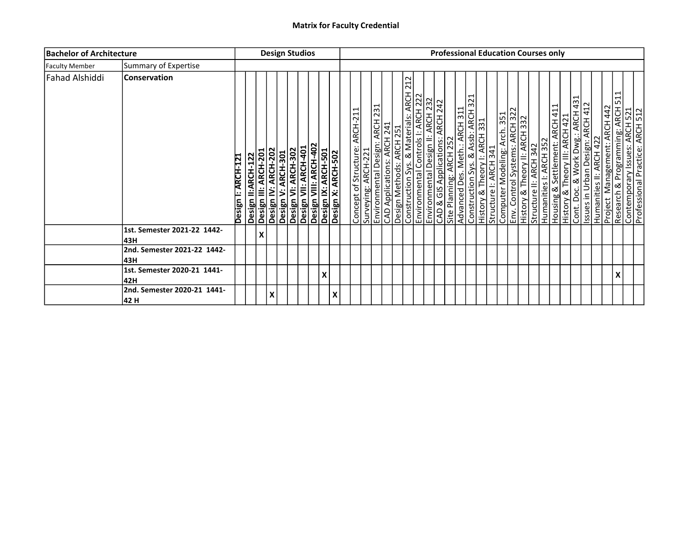| <b>Bachelor of Architecture</b> |                                      |                    |                                            |   |                     | <b>Design Studios</b> |                                                                                                                   |   |  |                               |                     |  |                                                                                                                                                                                                                     |  |                                  |                                                          |  |  |                                                                                                                                                                                              |                        | <b>Professional Education Courses only</b>                                                                                                                                           |  |  |                                           |                                                                                                          |  |
|---------------------------------|--------------------------------------|--------------------|--------------------------------------------|---|---------------------|-----------------------|-------------------------------------------------------------------------------------------------------------------|---|--|-------------------------------|---------------------|--|---------------------------------------------------------------------------------------------------------------------------------------------------------------------------------------------------------------------|--|----------------------------------|----------------------------------------------------------|--|--|----------------------------------------------------------------------------------------------------------------------------------------------------------------------------------------------|------------------------|--------------------------------------------------------------------------------------------------------------------------------------------------------------------------------------|--|--|-------------------------------------------|----------------------------------------------------------------------------------------------------------|--|
| <b>Faculty Member</b>           | Summary of Expertise                 |                    |                                            |   |                     |                       |                                                                                                                   |   |  |                               |                     |  |                                                                                                                                                                                                                     |  |                                  |                                                          |  |  |                                                                                                                                                                                              |                        |                                                                                                                                                                                      |  |  |                                           |                                                                                                          |  |
| Fahad Alshiddi                  | <b>Conservation</b>                  | Design I: ARCH-121 | Design II:ARCH-122<br>Design III: ARCH-201 |   | Design IV: ARCH-202 | Design V: ARCH-301    | Desiğn VI: ARCH-302<br>Design VII: ARCH-401<br>Design VIII: ARCH-402<br>Design IX: ARCH-501<br>Design X: ARCH-502 |   |  | Concept of Structure: ARCH-21 | Surveying: ARCH-221 |  | 212<br>Environmental Design: ARCH 231<br>CAD Applications: ARCH 241<br>Design Methods: ARCH 251<br>Construction Sys. & Materials: ARCH 22<br>Environmental Design II: ARCH 222<br>Environmental Design II: ARCH 232 |  | CAD & GIS Applications: ARCH 242 | Advanced Des. Meth.: ARCH 311<br>Site Planning: ARCH 252 |  |  | Construction Sys. & Assb: ARCH 321<br>History & Theory I: ARCH 331<br>Structure I: ARCH 341<br>Computer Modeling: Arch 351<br>History & Theory II: ARCH 322<br>History & Theory II: ARCH 332 | Structure II: ARCH 342 | Humanities I: ARCH 352<br>Housing & Settlement: ARCH 411<br>History & Theory III: ARCH 421<br>Issues in Urban Design: ARCH 431<br>Humanities II: ARCH 422<br>Dumanities II: ARCH 422 |  |  | <b>ARCH 442</b><br>Management:<br>Project | ⊣<br>Research & Programming: ARCH 51<br>Contemporary Issues: ARCH 521<br>Professional Practice: ARCH 512 |  |
|                                 | 1st. Semester 2021-22 1442-<br>l43H  |                    |                                            | x |                     |                       |                                                                                                                   |   |  |                               |                     |  |                                                                                                                                                                                                                     |  |                                  |                                                          |  |  |                                                                                                                                                                                              |                        |                                                                                                                                                                                      |  |  |                                           |                                                                                                          |  |
|                                 | 2nd. Semester 2021-22 1442-<br>l43H  |                    |                                            |   |                     |                       |                                                                                                                   |   |  |                               |                     |  |                                                                                                                                                                                                                     |  |                                  |                                                          |  |  |                                                                                                                                                                                              |                        |                                                                                                                                                                                      |  |  |                                           |                                                                                                          |  |
|                                 | 1st. Semester 2020-21 1441-<br>42H   |                    |                                            |   |                     |                       |                                                                                                                   | X |  |                               |                     |  |                                                                                                                                                                                                                     |  |                                  |                                                          |  |  |                                                                                                                                                                                              |                        |                                                                                                                                                                                      |  |  |                                           |                                                                                                          |  |
|                                 | 2nd. Semester 2020-21 1441-<br> 42 H |                    |                                            |   | $\pmb{\mathsf{X}}$  |                       |                                                                                                                   |   |  |                               |                     |  |                                                                                                                                                                                                                     |  |                                  |                                                          |  |  |                                                                                                                                                                                              |                        |                                                                                                                                                                                      |  |  |                                           |                                                                                                          |  |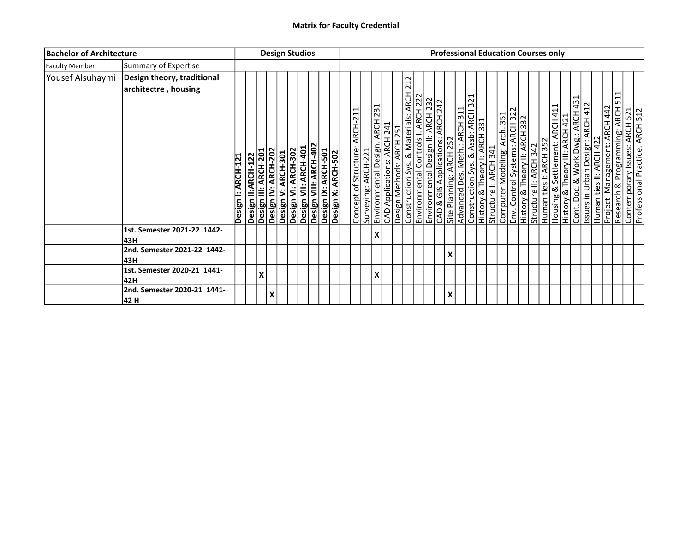| <b>Bachelor of Architecture</b> |                                                    |                    |                                                                   | <b>Design Studios</b> |                    |  |  |                                                                                                                         |                               |                     |   |     |  |                                                                                                                                                                                                             |                         |                               |  |  | <b>Professional Education Courses only</b>                                                                                                                                                        |                        |                        |                                                                                                                                                                                                     |  |  |                                                                                                                                      |  |
|---------------------------------|----------------------------------------------------|--------------------|-------------------------------------------------------------------|-----------------------|--------------------|--|--|-------------------------------------------------------------------------------------------------------------------------|-------------------------------|---------------------|---|-----|--|-------------------------------------------------------------------------------------------------------------------------------------------------------------------------------------------------------------|-------------------------|-------------------------------|--|--|---------------------------------------------------------------------------------------------------------------------------------------------------------------------------------------------------|------------------------|------------------------|-----------------------------------------------------------------------------------------------------------------------------------------------------------------------------------------------------|--|--|--------------------------------------------------------------------------------------------------------------------------------------|--|
| <b>Faculty Member</b>           | Summary of Expertise                               |                    |                                                                   |                       |                    |  |  |                                                                                                                         |                               |                     |   |     |  |                                                                                                                                                                                                             |                         |                               |  |  |                                                                                                                                                                                                   |                        |                        |                                                                                                                                                                                                     |  |  |                                                                                                                                      |  |
| Yousef Alsuhaymi                | Design theory, traditional<br>architectre, housing | Design I: ARCH-121 | Design II:ARCH-122<br>Design III: ARCH-201<br>Design IV: ARCH-202 |                       | Design V: ARCH-301 |  |  | <b>Design VI: ARCH-302</b><br>Design VII: ARCH-401<br>Design VIII: ARCH-402<br>Design X: ARCH-501<br>Design X: ARCH-502 | Concept of Structure: ARCH-21 | Surveying: ARCH-221 |   | 212 |  | Environmental Design: ARCH 231<br>CAD Applications: ARCH 241<br>Design Methods: ARCH 251<br>Construction Sys. & Materials: ARCH 22<br>Environmental Design II: ARCH 232<br>CAD & GIS Applications: ARCH 232 | Site Planning: ARCH 252 | Advanced Des. Meth.: ARCH 311 |  |  | Construction Sys. & Assb: ARCH 321<br> History & Theory I: ARCH 331<br> Structure I: ARCH 341<br> Computer Modeling: Arch 351<br> History & Theory II: ARCH 322<br> History & Theory II: ARCH 332 | Structure II: ARCH 342 | Humanities I: ARCH 352 | Housing & Settlement: ARCH 411<br>History & Theory III: ARCH 421<br>Cont. Doc. & Work Dwg.: ARCH 431<br>Issues in Urban Design: ARCH 412<br>Humanities II: ARCH 422<br>Project Management: ARCH 442 |  |  | $\overline{\phantom{0}}$<br>∣ ⊔∩<br>Research & Programming: ARCH<br>Contemporary Issues: ARCH 521<br>Professional Practice: ARCH 512 |  |
|                                 | 1st. Semester 2021-22 1442-<br>43H                 |                    |                                                                   |                       |                    |  |  |                                                                                                                         |                               |                     | X |     |  |                                                                                                                                                                                                             |                         |                               |  |  |                                                                                                                                                                                                   |                        |                        |                                                                                                                                                                                                     |  |  |                                                                                                                                      |  |
|                                 | 2nd. Semester 2021-22 1442-<br>43H                 |                    |                                                                   |                       |                    |  |  |                                                                                                                         |                               |                     |   |     |  |                                                                                                                                                                                                             | Χ                       |                               |  |  |                                                                                                                                                                                                   |                        |                        |                                                                                                                                                                                                     |  |  |                                                                                                                                      |  |
|                                 | 1st. Semester 2020-21 1441-<br>42H                 |                    |                                                                   | X                     |                    |  |  |                                                                                                                         |                               |                     | X |     |  |                                                                                                                                                                                                             |                         |                               |  |  |                                                                                                                                                                                                   |                        |                        |                                                                                                                                                                                                     |  |  |                                                                                                                                      |  |
|                                 | 2nd. Semester 2020-21 1441-<br>42 H                |                    |                                                                   |                       | $\pmb{\mathsf{X}}$ |  |  |                                                                                                                         |                               |                     |   |     |  |                                                                                                                                                                                                             | v<br>л                  |                               |  |  |                                                                                                                                                                                                   |                        |                        |                                                                                                                                                                                                     |  |  |                                                                                                                                      |  |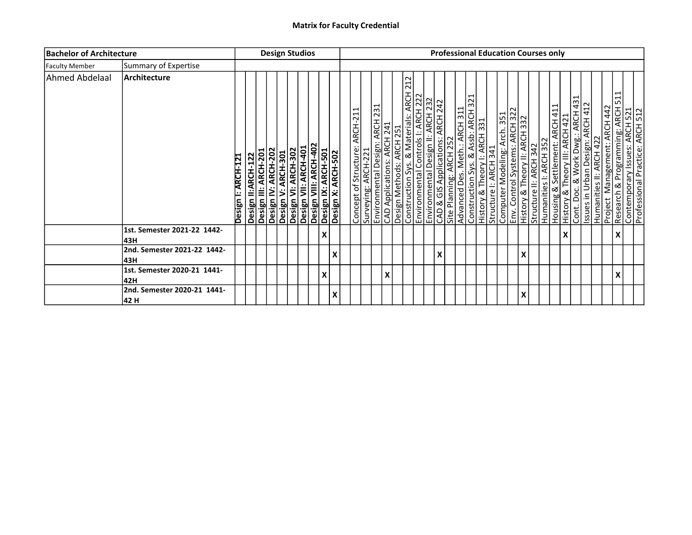| <b>Bachelor of Architecture</b> |                                      |                    |                                            | <b>Design Studios</b> |                     |                    |  |   |                                                                                                                   |                               |                     |                                                                                                                                                                                                               |     |  |                                  |                         |                               |  |  |                                                                                                                                                             | <b>Professional Education Courses only</b>                                                                                                                                                                              |                    |  |                                           |                                                                                                         |  |
|---------------------------------|--------------------------------------|--------------------|--------------------------------------------|-----------------------|---------------------|--------------------|--|---|-------------------------------------------------------------------------------------------------------------------|-------------------------------|---------------------|---------------------------------------------------------------------------------------------------------------------------------------------------------------------------------------------------------------|-----|--|----------------------------------|-------------------------|-------------------------------|--|--|-------------------------------------------------------------------------------------------------------------------------------------------------------------|-------------------------------------------------------------------------------------------------------------------------------------------------------------------------------------------------------------------------|--------------------|--|-------------------------------------------|---------------------------------------------------------------------------------------------------------|--|
| <b>Faculty Member</b>           | Summary of Expertise                 |                    |                                            |                       |                     |                    |  |   |                                                                                                                   |                               |                     |                                                                                                                                                                                                               |     |  |                                  |                         |                               |  |  |                                                                                                                                                             |                                                                                                                                                                                                                         |                    |  |                                           |                                                                                                         |  |
| <b>Ahmed Abdelaal</b>           | Architecture                         | Design I: ARCH-121 | Design II:ARCH-122<br>Design III: ARCH-201 |                       | Design IV: ARCH-202 | Design V: ARCH-301 |  |   | Desiğn VI: ARCH-302<br>Design VII: ARCH-401<br>Design VIII: ARCH-402<br>Design IX: ARCH-501<br>Design X: ARCH-502 | Concept of Structure: ARCH-21 | Surveying: ARCH-221 | Environmental Design: ARCH 231<br>CAD Applications: ARCH 241<br>Design Methods: ARCH 251<br>Construction Sys. & Materials: ARCH 22<br>Environmental Controls I: ARCH 222<br>Environmental Design II: ARCH 222 | 212 |  | CAD & GIS Applications: ARCH 242 | Site Planning: ARCH 252 | Advanced Des. Meth.: ARCH 311 |  |  | Construction Sys. & Assb: ARCH 321<br>History & Theory I: ARCH 331<br>Structure I: ARCH 341<br>Computer Modeling: Arch 351<br>History & Theory II: ARCH 322 | Structure II: ARCH 342<br>Humanities I: ARCH 352<br>Housing & Settlement: ARCH 411<br>History & Theory III: ARCH 421<br>Cont. Doc. & Work Dwg.: ARCH 431<br>Issues in Urban Design: ARCH 412<br>Humanities II: ARCH 422 |                    |  | <b>ARCH 442</b><br>Management:<br>Project | ⊣<br>Research & Programming: ARCH 51<br>Contemporary Issues: ARCH 52<br>Professional Practice: ARCH 512 |  |
|                                 | 1st. Semester 2021-22 1442-<br>l43H  |                    |                                            |                       |                     |                    |  | X |                                                                                                                   |                               |                     |                                                                                                                                                                                                               |     |  |                                  |                         |                               |  |  |                                                                                                                                                             |                                                                                                                                                                                                                         | $\pmb{\mathsf{X}}$ |  |                                           |                                                                                                         |  |
|                                 | 2nd. Semester 2021-22 1442-<br>l43H  |                    |                                            |                       |                     |                    |  |   | х                                                                                                                 |                               |                     |                                                                                                                                                                                                               |     |  | X                                |                         |                               |  |  | X                                                                                                                                                           |                                                                                                                                                                                                                         |                    |  |                                           |                                                                                                         |  |
|                                 | 1st. Semester 2020-21 1441-<br>42H   |                    |                                            |                       |                     |                    |  | X |                                                                                                                   |                               |                     | X                                                                                                                                                                                                             |     |  |                                  |                         |                               |  |  |                                                                                                                                                             |                                                                                                                                                                                                                         |                    |  |                                           |                                                                                                         |  |
|                                 | 2nd. Semester 2020-21 1441-<br> 42 H |                    |                                            |                       |                     |                    |  |   |                                                                                                                   |                               |                     |                                                                                                                                                                                                               |     |  |                                  |                         |                               |  |  |                                                                                                                                                             |                                                                                                                                                                                                                         |                    |  |                                           |                                                                                                         |  |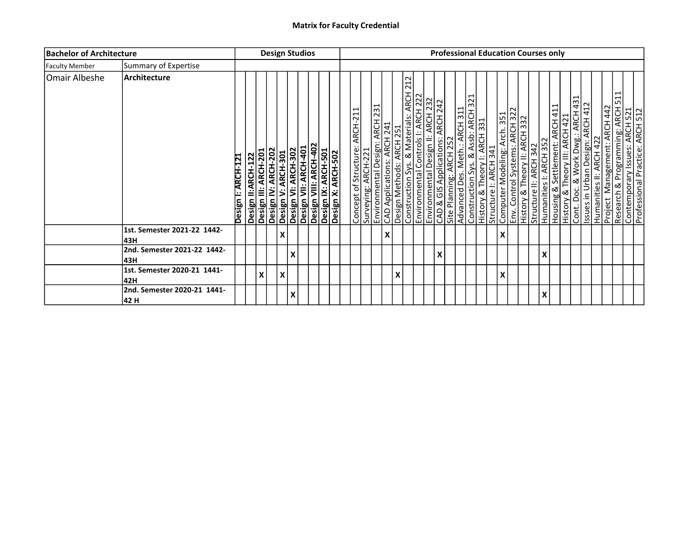| <b>Bachelor of Architecture</b> |                                      |                    |                                            |                     | <b>Design Studios</b>                                                                                           |   |  |  |                                                      |                           |   |                                                                                                                                                                                                                     |  |                                  |                         |                               |                                                                                                                                                                                              |   |  | <b>Professional Education Courses only</b> |                                                                                                                                                                                              |  |  |                                           |                                                                                                          |  |
|---------------------------------|--------------------------------------|--------------------|--------------------------------------------|---------------------|-----------------------------------------------------------------------------------------------------------------|---|--|--|------------------------------------------------------|---------------------------|---|---------------------------------------------------------------------------------------------------------------------------------------------------------------------------------------------------------------------|--|----------------------------------|-------------------------|-------------------------------|----------------------------------------------------------------------------------------------------------------------------------------------------------------------------------------------|---|--|--------------------------------------------|----------------------------------------------------------------------------------------------------------------------------------------------------------------------------------------------|--|--|-------------------------------------------|----------------------------------------------------------------------------------------------------------|--|
| <b>Faculty Member</b>           | Summary of Expertise                 |                    |                                            |                     |                                                                                                                 |   |  |  |                                                      |                           |   |                                                                                                                                                                                                                     |  |                                  |                         |                               |                                                                                                                                                                                              |   |  |                                            |                                                                                                                                                                                              |  |  |                                           |                                                                                                          |  |
| Omair Albeshe                   | <b>Architecture</b>                  | Design I: ARCH-121 | Design II:ARCH-122<br>Design III: ARCH-201 | Design IV: ARCH-202 | Design V: ARCH-301<br>Design VI: ARCH-302<br>Design VII: ARCH-401<br>Design IX: ARCH-501<br>Design IX: ARCH-502 |   |  |  | Concept of Structure: ARCH-21<br>Surveying: ARCH-221 |                           |   | 212<br>Environmental Design: ARCH 231<br>CAD Applications: ARCH 241<br>Design Methods: ARCH 251<br>Construction Sys. & Materials: ARCH 22<br>Environmental Design II: ARCH 222<br>Environmental Design II: ARCH 232 |  | CAD & GIS Applications: ARCH 242 | Site Planning: ARCH 252 | Advanced Des. Meth.: ARCH 311 | Construction Sys. & Assb: ARCH 321<br>History & Theory I: ARCH 331<br>Structure I: ARCH 341<br>Computer Modeling: Arch 351<br>History & Theory II: ARCH 322<br>History & Theory II: ARCH 332 |   |  | Structure II: ARCH 342                     | Humanities I: ARCH 352<br>Housing & Settlement: ARCH 411<br>History & Theory III: ARCH 421<br>Cont. Doc. & Work Dwg: ARCH 431<br>Issues in Urban Design: ARCH 412<br>Humanities II: ARCH 422 |  |  | <b>ARCH 442</b><br>Management:<br>Project | ⊣<br>Research & Programming: ARCH 51<br>Contemporary Issues: ARCH 521<br>Professional Practice: ARCH 512 |  |
|                                 | 1st. Semester 2021-22 1442-<br>l43H  |                    |                                            |                     | X                                                                                                               |   |  |  |                                                      | $\boldsymbol{\mathsf{X}}$ |   |                                                                                                                                                                                                                     |  |                                  |                         |                               |                                                                                                                                                                                              | X |  |                                            |                                                                                                                                                                                              |  |  |                                           |                                                                                                          |  |
|                                 | 2nd. Semester 2021-22 1442-<br>l43H  |                    |                                            |                     |                                                                                                                 | X |  |  |                                                      |                           |   |                                                                                                                                                                                                                     |  | X                                |                         |                               |                                                                                                                                                                                              |   |  |                                            | X                                                                                                                                                                                            |  |  |                                           |                                                                                                          |  |
|                                 | 1st. Semester 2020-21 1441-<br>42H   |                    | x                                          |                     | X                                                                                                               |   |  |  |                                                      |                           | X |                                                                                                                                                                                                                     |  |                                  |                         |                               |                                                                                                                                                                                              | X |  |                                            |                                                                                                                                                                                              |  |  |                                           |                                                                                                          |  |
|                                 | 2nd. Semester 2020-21 1441-<br> 42 H |                    |                                            |                     |                                                                                                                 | X |  |  |                                                      |                           |   |                                                                                                                                                                                                                     |  |                                  |                         |                               |                                                                                                                                                                                              |   |  |                                            | X                                                                                                                                                                                            |  |  |                                           |                                                                                                          |  |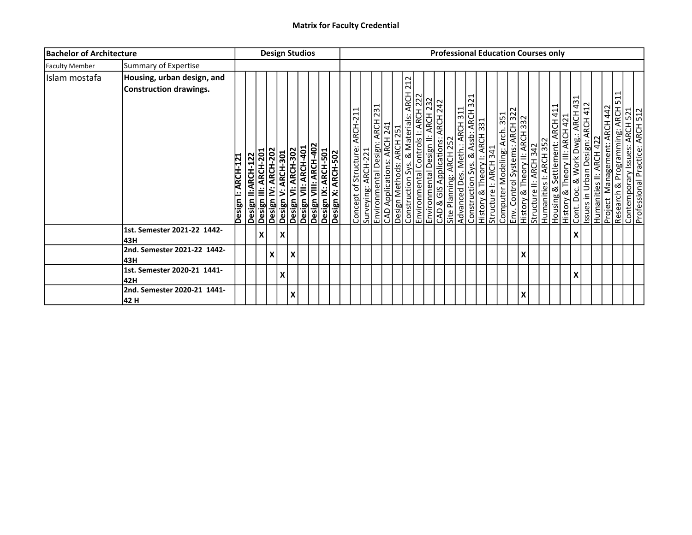| <b>Bachelor of Architecture</b> |                                                      |                    |                    |                      |                     | <b>Design Studios</b>     |                           |  |                                                                                                                  |                               |                     |  |                                                                                                                                                                                                                    |  |                         |                               |  |                                                                                                                                                                                                   |   |                        | <b>Professional Education Courses only</b> |                                                                                                                                          |  |                                                                                                                                                                                   |  |
|---------------------------------|------------------------------------------------------|--------------------|--------------------|----------------------|---------------------|---------------------------|---------------------------|--|------------------------------------------------------------------------------------------------------------------|-------------------------------|---------------------|--|--------------------------------------------------------------------------------------------------------------------------------------------------------------------------------------------------------------------|--|-------------------------|-------------------------------|--|---------------------------------------------------------------------------------------------------------------------------------------------------------------------------------------------------|---|------------------------|--------------------------------------------|------------------------------------------------------------------------------------------------------------------------------------------|--|-----------------------------------------------------------------------------------------------------------------------------------------------------------------------------------|--|
| <b>Faculty Member</b>           | Summary of Expertise                                 |                    |                    |                      |                     |                           |                           |  |                                                                                                                  |                               |                     |  |                                                                                                                                                                                                                    |  |                         |                               |  |                                                                                                                                                                                                   |   |                        |                                            |                                                                                                                                          |  |                                                                                                                                                                                   |  |
| Islam mostafa                   | Housing, urban design, and<br>Construction drawings. | Design I: ARCH-121 | Design II:ARCH-122 | Design III: ARCH-201 | Design IV: ARCH-202 | Design V: ARCH-301        |                           |  | Design VI: ARCH-302<br>Design VII: ARCH-401<br>Design VIII: ARCH-402<br>Design X: ARCH-501<br>Design X: ARCH-502 | Concept of Structure: ARCH-21 | Surveying: ARCH-221 |  | 212<br>Environmental Design: ARCH 231<br>CAD Applications: ARCH 241<br>Design Methods: ARCH 251<br>Construction Sys. & Materials: ARCH 22<br>Environmental Design II: ARCH 222<br>CAD & GIS Applications: ARCH 232 |  | Site Planning: ARCH 252 | Advanced Des. Meth.: ARCH 311 |  | Construction Sys. & Assb: ARCH 321<br> History & Theory I: ARCH 331<br> Structure I: ARCH 341<br> Computer Modeling: Arch 351<br> History & Theory II: ARCH 322<br> History & Theory II: ARCH 332 |   | Structure II: ARCH 342 | Humanities I: ARCH 352                     | Housing & Settlement: ARCH 411<br> History & Theory III: ARCH 421<br> Cont. Doc. & Work Dwg:: ARCH 431<br> Humanities II: ARCH 422<br> - |  | ⊣<br>$\mathbf{\overline{d}}$<br>∩∟ו<br><b>Project Management: ARCH 442</b><br>Research & Programming: ARCH 51<br>Contemporary Issues: ARCH 521<br>Professional Practice: ARCH 512 |  |
|                                 | 1st. Semester 2021-22 1442-<br>43H                   |                    |                    | $\pmb{\mathsf{X}}$   |                     | $\boldsymbol{\mathsf{x}}$ |                           |  |                                                                                                                  |                               |                     |  |                                                                                                                                                                                                                    |  |                         |                               |  |                                                                                                                                                                                                   |   |                        |                                            | X                                                                                                                                        |  |                                                                                                                                                                                   |  |
|                                 | 2nd. Semester 2021-22 1442-<br>43H                   |                    |                    |                      | $\pmb{\mathsf{X}}$  |                           | $\boldsymbol{\mathsf{X}}$ |  |                                                                                                                  |                               |                     |  |                                                                                                                                                                                                                    |  |                         |                               |  |                                                                                                                                                                                                   | X |                        |                                            |                                                                                                                                          |  |                                                                                                                                                                                   |  |
|                                 | 1st. Semester 2020-21 1441-<br>42H                   |                    |                    |                      |                     | X                         |                           |  |                                                                                                                  |                               |                     |  |                                                                                                                                                                                                                    |  |                         |                               |  |                                                                                                                                                                                                   |   |                        |                                            | X                                                                                                                                        |  |                                                                                                                                                                                   |  |
|                                 | 2nd. Semester 2020-21 1441-<br>42 H                  |                    |                    |                      |                     |                           | X                         |  |                                                                                                                  |                               |                     |  |                                                                                                                                                                                                                    |  |                         |                               |  |                                                                                                                                                                                                   |   |                        |                                            |                                                                                                                                          |  |                                                                                                                                                                                   |  |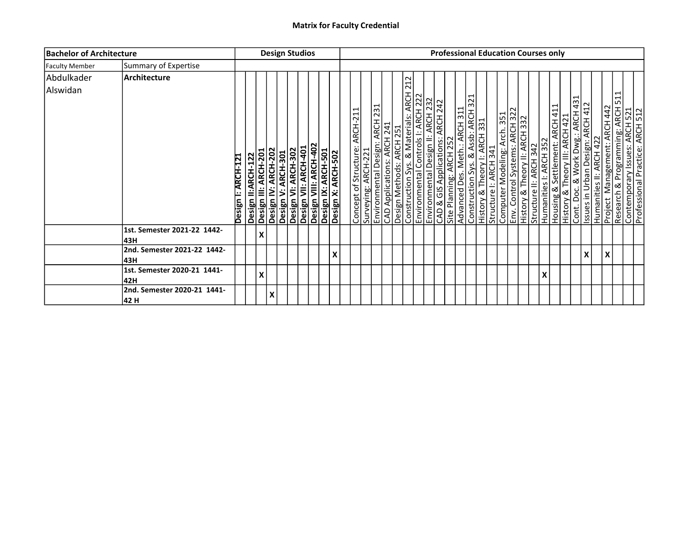| <b>Bachelor of Architecture</b> |                                     |                    |   |                                                                   |  | <b>Design Studios</b>                                                                                                                 |  |   |                                                       |  |                                                                                                                                                                                                                                                                                                                                   |                                          |                         |  |  | <b>Professional Education Courses only</b>                                                                                                                                                                                                   |   |  |                                                                                                                                                                |   |                                           |                                                                                                          |  |
|---------------------------------|-------------------------------------|--------------------|---|-------------------------------------------------------------------|--|---------------------------------------------------------------------------------------------------------------------------------------|--|---|-------------------------------------------------------|--|-----------------------------------------------------------------------------------------------------------------------------------------------------------------------------------------------------------------------------------------------------------------------------------------------------------------------------------|------------------------------------------|-------------------------|--|--|----------------------------------------------------------------------------------------------------------------------------------------------------------------------------------------------------------------------------------------------|---|--|----------------------------------------------------------------------------------------------------------------------------------------------------------------|---|-------------------------------------------|----------------------------------------------------------------------------------------------------------|--|
| <b>Faculty Member</b>           | Summary of Expertise                |                    |   |                                                                   |  |                                                                                                                                       |  |   |                                                       |  |                                                                                                                                                                                                                                                                                                                                   |                                          |                         |  |  |                                                                                                                                                                                                                                              |   |  |                                                                                                                                                                |   |                                           |                                                                                                          |  |
| Abdulkader<br>Alswidan          | Architecture                        | Design I: ARCH-121 |   | Design II:ARCH-122<br>Design III: ARCH-201<br>Design IV: ARCH-202 |  | Desiğn V: ARCH-301<br>Design VI: ARCH-302<br>Design VII: ARCH-402<br>Design IX: ARCH-501<br>Design IX: ARCH-501<br>Design X: ARCH-502 |  |   | Concept of Structure: ARCH-211<br>Surveying: ARCH-221 |  | 212<br>Construction Sys. & Materials: ARCH<br>Environmental Controls I: ARCH 222<br>Environmental Design II: ARCH 232<br>CAD & GIS Applications: ARCH 242<br>Environmental Design: ARCH 231<br>CAD Applications: ARCH 241<br>Design Methods: ARCH 251<br>Environmental Controls I: ARCH 222<br>Environmental Controls I: ARCH 222 | $\frac{\overline{ACH}}{\overline{A121}}$ | Site Planning: ARCH 252 |  |  | Advanced Des. Meth.: ARCH 311<br>Construction Sys. & Assb: ARCH 321<br>History & Theory I: ARCH 331<br>Structure I: ARCH 341<br>Computer Modeling: Arch 351<br>Env. Control Systems: ARCH 322<br>History & Theory II: ARCH 332<br>Humanities |   |  | Housing & Settlement: ARCH 411<br> History & Theory III: ARCH 421<br> Cont. Doc. & Work Dwg.: ARCH 431<br> Humanities II: ARCH 422<br> Humanities II: ARCH 422 |   | <b>ARCH 442</b><br>Management:<br>Project | ⊣<br>Research & Programming: ARCH 51<br>Contemporary Issues: ARCH 521<br>Professional Practice: ARCH 522 |  |
|                                 | 1st. Semester 2021-22 1442-<br>l43H |                    | X |                                                                   |  |                                                                                                                                       |  |   |                                                       |  |                                                                                                                                                                                                                                                                                                                                   |                                          |                         |  |  |                                                                                                                                                                                                                                              |   |  |                                                                                                                                                                |   |                                           |                                                                                                          |  |
|                                 | 2nd. Semester 2021-22 1442-<br>43H  |                    |   |                                                                   |  |                                                                                                                                       |  | X |                                                       |  |                                                                                                                                                                                                                                                                                                                                   |                                          |                         |  |  |                                                                                                                                                                                                                                              |   |  |                                                                                                                                                                | X |                                           |                                                                                                          |  |
|                                 | 1st. Semester 2020-21 1441-<br>42H  |                    | X |                                                                   |  |                                                                                                                                       |  |   |                                                       |  |                                                                                                                                                                                                                                                                                                                                   |                                          |                         |  |  |                                                                                                                                                                                                                                              | X |  |                                                                                                                                                                |   |                                           |                                                                                                          |  |
|                                 | 2nd. Semester 2020-21 1441-<br>42 H |                    |   | Χ                                                                 |  |                                                                                                                                       |  |   |                                                       |  |                                                                                                                                                                                                                                                                                                                                   |                                          |                         |  |  |                                                                                                                                                                                                                                              |   |  |                                                                                                                                                                |   |                                           |                                                                                                          |  |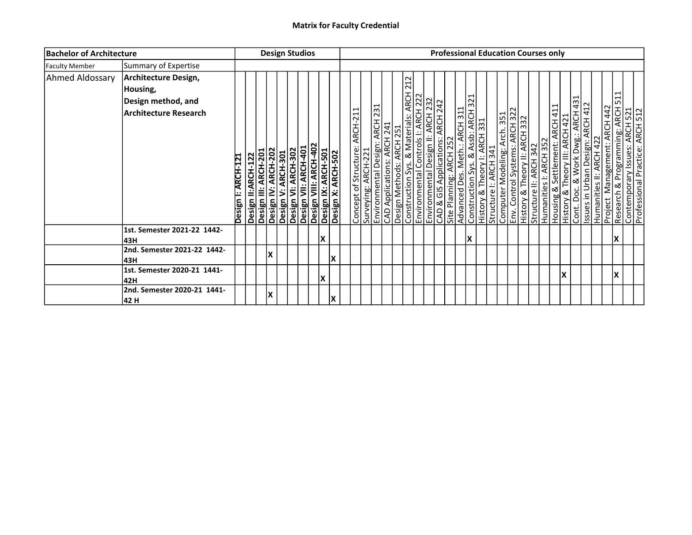| <b>Bachelor of Architecture</b> |                                                                                 |                    |                                            | <b>Design Studios</b> |                                           |                                                                                                                   |    |  |                                                       |  |                                                                                                                                                                                                                     |  |                                                             |                               |    | <b>Professional Education Courses only</b>                                                                                                                                                        |  |  |  |    |                                                                                                                                                                                                                                              |                                           |                                                                                                          |  |
|---------------------------------|---------------------------------------------------------------------------------|--------------------|--------------------------------------------|-----------------------|-------------------------------------------|-------------------------------------------------------------------------------------------------------------------|----|--|-------------------------------------------------------|--|---------------------------------------------------------------------------------------------------------------------------------------------------------------------------------------------------------------------|--|-------------------------------------------------------------|-------------------------------|----|---------------------------------------------------------------------------------------------------------------------------------------------------------------------------------------------------|--|--|--|----|----------------------------------------------------------------------------------------------------------------------------------------------------------------------------------------------------------------------------------------------|-------------------------------------------|----------------------------------------------------------------------------------------------------------|--|
| <b>Faculty Member</b>           | Summary of Expertise                                                            |                    |                                            |                       |                                           |                                                                                                                   |    |  |                                                       |  |                                                                                                                                                                                                                     |  |                                                             |                               |    |                                                                                                                                                                                                   |  |  |  |    |                                                                                                                                                                                                                                              |                                           |                                                                                                          |  |
| Ahmed Aldossary                 | Architecture Design,<br>Housing,<br>Design method, and<br>Architecture Research | Design I: ARCH-121 | Design II:ARCH-122<br>Design III: ARCH-201 |                       | Design IV: ARCH-202<br>Design V: ARCH-301 | Desiğn VI: ARCH-302<br>Design VII: ARCH-401<br>Design VIII: ARCH-402<br>Design IX: ARCH-501<br>Design X: ARCH-502 |    |  | Concept of Structure: ARCH-211<br>Surveying: ARCH-221 |  | 212<br>Environmental Design: ARCH 231<br>CAD Applications: ARCH 241<br>Design Methods: ARCH 251<br>Construction Sys. & Materials: ARCH 22<br>Environmental Design II: ARCH 222<br>Environmental Design II: ARCH 232 |  | CAD & GIS Applications: ARCH 242<br>Site Planning: ARCH 252 | Advanced Des. Meth.: ARCH 311 |    | Construction Sys. & Assb: ARCH 321<br> History & Theory I: ARCH 331<br> Structure I: ARCH 341<br> Computer Modeling: Arch 351<br> History & Theory II: ARCH 322<br> History & Theory II: ARCH 332 |  |  |  |    | Structure II: ARCH 342<br>Humanities I: ARCH 352<br>Housing & Settlement: ARCH 411<br>History & Theory III: ARCH 421<br>Cont. Doc. & Work Dwg.: ARCH 431<br>Issues in Urban Design: ARCH 412<br>Humanities II: ARCH 422<br>Puniert Managemen | <b>ARCH 442</b><br>Management:<br>Project | ⊣<br>Research & Programming: ARCH 51<br>Contemporary Issues: ARCH 521<br>Professional Practice: ARCH 522 |  |
|                                 | 1st. Semester 2021-22 1442-<br>l43H                                             |                    |                                            |                       |                                           |                                                                                                                   | X  |  |                                                       |  |                                                                                                                                                                                                                     |  |                                                             |                               | lχ |                                                                                                                                                                                                   |  |  |  |    |                                                                                                                                                                                                                                              |                                           | lΧ                                                                                                       |  |
|                                 | 2nd. Semester 2021-22 1442-<br>l43H                                             |                    |                                            | X                     |                                           |                                                                                                                   | lΧ |  |                                                       |  |                                                                                                                                                                                                                     |  |                                                             |                               |    |                                                                                                                                                                                                   |  |  |  |    |                                                                                                                                                                                                                                              |                                           |                                                                                                          |  |
|                                 | 1st. Semester 2020-21 1441-<br>42H                                              |                    |                                            |                       |                                           |                                                                                                                   | X  |  |                                                       |  |                                                                                                                                                                                                                     |  |                                                             |                               |    |                                                                                                                                                                                                   |  |  |  | ΙX |                                                                                                                                                                                                                                              |                                           | lΧ                                                                                                       |  |
|                                 | 2nd. Semester 2020-21 1441-<br> 42 H                                            |                    |                                            | X                     |                                           |                                                                                                                   | lχ |  |                                                       |  |                                                                                                                                                                                                                     |  |                                                             |                               |    |                                                                                                                                                                                                   |  |  |  |    |                                                                                                                                                                                                                                              |                                           |                                                                                                          |  |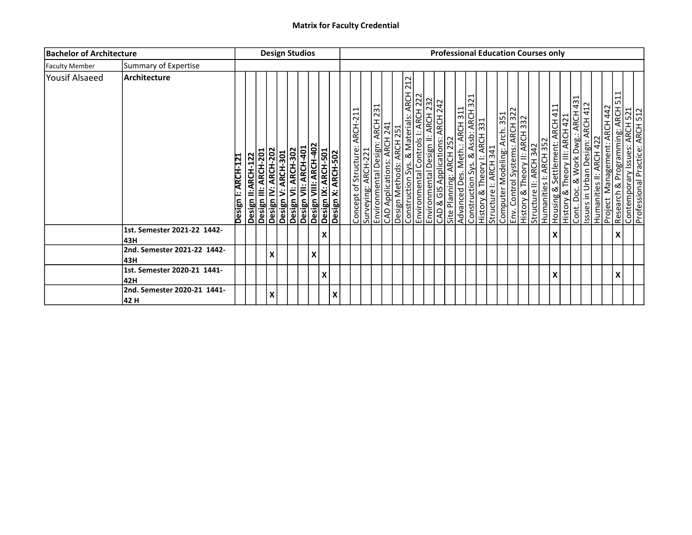| <b>Bachelor of Architecture</b> |                                      |                    |                                            | <b>Design Studios</b>                     |                                                                                                                 |   |                    |                           |                               |                     |                                                                                                                                                                                                             |     |  |                                                          |  |  | <b>Professional Education Courses only</b>                                                                                                                                                        |                        |                        |                    |                                                                                                                                                     |  |                                                                  |                                                                                                    |
|---------------------------------|--------------------------------------|--------------------|--------------------------------------------|-------------------------------------------|-----------------------------------------------------------------------------------------------------------------|---|--------------------|---------------------------|-------------------------------|---------------------|-------------------------------------------------------------------------------------------------------------------------------------------------------------------------------------------------------------|-----|--|----------------------------------------------------------|--|--|---------------------------------------------------------------------------------------------------------------------------------------------------------------------------------------------------|------------------------|------------------------|--------------------|-----------------------------------------------------------------------------------------------------------------------------------------------------|--|------------------------------------------------------------------|----------------------------------------------------------------------------------------------------|
| <b>Faculty Member</b>           | Summary of Expertise                 |                    |                                            |                                           |                                                                                                                 |   |                    |                           |                               |                     |                                                                                                                                                                                                             |     |  |                                                          |  |  |                                                                                                                                                                                                   |                        |                        |                    |                                                                                                                                                     |  |                                                                  |                                                                                                    |
| Yousif Alsaeed                  | Architecture                         | Design I: ARCH-121 | Design II:ARCH-122<br>Design III: ARCH-201 | Design IV: ARCH-202<br>Design V: ARCH-301 | Design VI: ARCH-302<br>Design VII: ARCH-401<br>Design VII: ARCH-402<br>Design X: ARCH-501<br>Design X: ARCH-502 |   |                    |                           | Concept of Structure: ARCH-21 | Surveying: ARCH-221 | Environmental Design: ARCH 231<br>CAD Applications: ARCH 241<br>Design Methods: ARCH 251<br>Construction Sys. & Materials: ARCH 22<br>Environmental Design II: ARCH 232<br>CAD & GIS Applications: ARCH 232 | 212 |  | Advanced Des. Meth.: ARCH 311<br>Site Planning: ARCH 252 |  |  | Construction Sys. & Assb: ARCH 321<br> History & Theory I: ARCH 331<br> Structure I: ARCH 341<br> Computer Modeling: Arch 351<br> History & Theory II: ARCH 322<br> History & Theory II: ARCH 332 | Structure II: ARCH 342 | Humanities I: ARCH 352 |                    | Housing & Settlement: ARCH 411<br>History & Theory III: ARCH 421<br>Cont. Doc. & Work Dwg.: ARCH 431<br>Humanities II: ARCH 422<br>Pusies: ARCH 422 |  | ⊣<br>$\overline{ }$<br><b>ARCH 442</b><br>Management:<br>Project | Research & Programming: ARCH 5<br>Contemporary Issues: ARCH 521<br>Professional Practice: ARCH 512 |
|                                 | 1st. Semester 2021-22 1442-<br>43H   |                    |                                            |                                           |                                                                                                                 |   | $\pmb{\mathsf{X}}$ |                           |                               |                     |                                                                                                                                                                                                             |     |  |                                                          |  |  |                                                                                                                                                                                                   |                        |                        | $\pmb{\mathsf{X}}$ |                                                                                                                                                     |  |                                                                  |                                                                                                    |
|                                 | 2nd. Semester 2021-22 1442-<br>43H   |                    |                                            | $\pmb{\mathsf{X}}$                        |                                                                                                                 | X |                    |                           |                               |                     |                                                                                                                                                                                                             |     |  |                                                          |  |  |                                                                                                                                                                                                   |                        |                        |                    |                                                                                                                                                     |  |                                                                  |                                                                                                    |
|                                 | 1st. Semester 2020-21 1441-<br>42H   |                    |                                            |                                           |                                                                                                                 |   | X                  |                           |                               |                     |                                                                                                                                                                                                             |     |  |                                                          |  |  |                                                                                                                                                                                                   |                        |                        | X                  |                                                                                                                                                     |  |                                                                  |                                                                                                    |
|                                 | 2nd. Semester 2020-21 1441-<br> 42 H |                    |                                            | $\pmb{\mathsf{X}}$                        |                                                                                                                 |   |                    | $\boldsymbol{\mathsf{x}}$ |                               |                     |                                                                                                                                                                                                             |     |  |                                                          |  |  |                                                                                                                                                                                                   |                        |                        |                    |                                                                                                                                                     |  |                                                                  |                                                                                                    |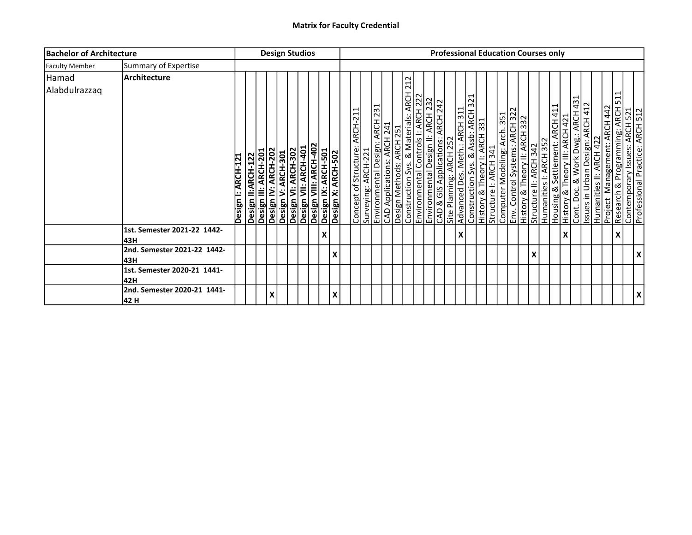| <b>Bachelor of Architecture</b> |                                     |                    |                    |                                             | <b>Design Studios</b> |                                                                                                                                        |  |   |   |                                                       |  |                                                                                                                                                                                                          |                                                                        |  |                         |                                                                                                                                                                                                                                             |  |  |   | <b>Professional Education Courses only</b>                                                                                                                |                    |  |                                                  |                                                                                                      |  |
|---------------------------------|-------------------------------------|--------------------|--------------------|---------------------------------------------|-----------------------|----------------------------------------------------------------------------------------------------------------------------------------|--|---|---|-------------------------------------------------------|--|----------------------------------------------------------------------------------------------------------------------------------------------------------------------------------------------------------|------------------------------------------------------------------------|--|-------------------------|---------------------------------------------------------------------------------------------------------------------------------------------------------------------------------------------------------------------------------------------|--|--|---|-----------------------------------------------------------------------------------------------------------------------------------------------------------|--------------------|--|--------------------------------------------------|------------------------------------------------------------------------------------------------------|--|
| <b>Faculty Member</b>           | Summary of Expertise                |                    |                    |                                             |                       |                                                                                                                                        |  |   |   |                                                       |  |                                                                                                                                                                                                          |                                                                        |  |                         |                                                                                                                                                                                                                                             |  |  |   |                                                                                                                                                           |                    |  |                                                  |                                                                                                      |  |
| Hamad<br>Alabdulrazzaq          | Architecture                        | Design I: ARCH-121 | Design II:ARCH-122 | Design III: ARCH-201<br>Design IV: ARCH-202 |                       | Design V: ARCH-301<br>Design VI: ARCH-302<br>Design VII: ARCH-402<br>Design VIII: ARCH-402<br>Design X: ARCH-501<br>Design X: ARCH-502 |  |   |   | Concept of Structure: ARCH-211<br>Surveying: ARCH-221 |  | Environmental Design: ARCH 231<br>CAD Applications: ARCH 241<br>Design Methods: ARCH 251<br>Construction Sys. & Materials: ARCH<br>Environmental Design II: ARCH 222<br>CAD & GIS Applications: ARCH 242 | 212<br>$\frac{\overline{A} \overline{C} }{\overline{A} \overline{C} }$ |  | Site Planning: ARCH 252 | Advanced Des. Meth.: ARCH 311<br>Construction Sys. & Assb: ARCH 321<br>History & Theory I: ARCH 331<br>Structure I: ARCH 341<br>Computer Modeling: Arch 351<br>Env. Control Systems: ARCH 322<br>History & Theory II: ARCH 322<br>Structure |  |  |   | Humanities I: ARCH 352<br>Housing & Settlement: ARCH 411<br>History & Theory III: ARCH 421<br>Issues in Urban Design: ARCH 431<br>Humanities II: ARCH 422 |                    |  | <b>ARCH 442</b><br>Management:<br><b>Project</b> | Research & Programming: ARCH 511<br>Contemporary Issues: ARCH 521<br>Professional Practice: ARCH 512 |  |
|                                 | 1st. Semester 2021-22 1442-<br>43H  |                    |                    |                                             |                       |                                                                                                                                        |  | X |   |                                                       |  |                                                                                                                                                                                                          |                                                                        |  |                         | X                                                                                                                                                                                                                                           |  |  |   |                                                                                                                                                           | $\pmb{\mathsf{X}}$ |  |                                                  | X                                                                                                    |  |
|                                 | 2nd. Semester 2021-22 1442-<br>43H  |                    |                    |                                             |                       |                                                                                                                                        |  |   |   |                                                       |  |                                                                                                                                                                                                          |                                                                        |  |                         |                                                                                                                                                                                                                                             |  |  | X |                                                                                                                                                           |                    |  |                                                  |                                                                                                      |  |
|                                 | 1st. Semester 2020-21 1441-<br>42H  |                    |                    |                                             |                       |                                                                                                                                        |  |   |   |                                                       |  |                                                                                                                                                                                                          |                                                                        |  |                         |                                                                                                                                                                                                                                             |  |  |   |                                                                                                                                                           |                    |  |                                                  |                                                                                                      |  |
|                                 | 2nd. Semester 2020-21 1441-<br>42 H |                    |                    |                                             | Χ                     |                                                                                                                                        |  |   | X |                                                       |  |                                                                                                                                                                                                          |                                                                        |  |                         |                                                                                                                                                                                                                                             |  |  |   |                                                                                                                                                           |                    |  |                                                  |                                                                                                      |  |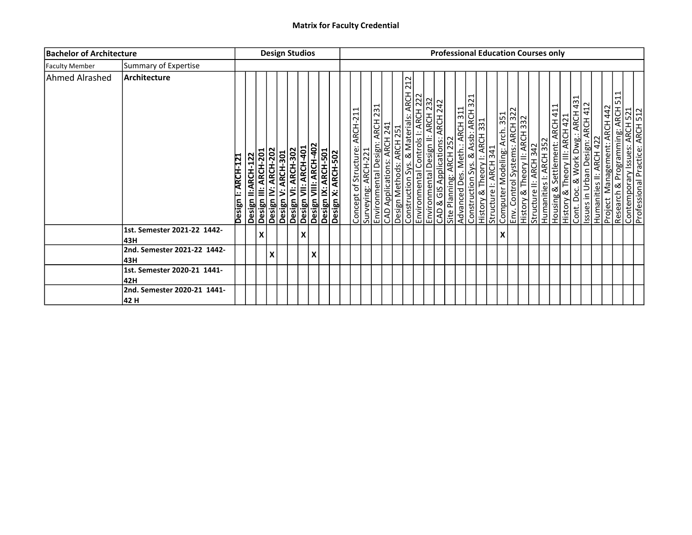| <b>Bachelor of Architecture</b> |                                     |                    |                    | <b>Design Studios</b> |                     |                                                                                                                        |   |   |  |                               |                     |  |                                                                                                                                                                                                                     |  |                                  |                         |                               |  |   | <b>Professional Education Courses only</b>                                                                                                                                                        |                        |                                                                                                                                                                                                    |  |  |                                                                                                          |  |
|---------------------------------|-------------------------------------|--------------------|--------------------|-----------------------|---------------------|------------------------------------------------------------------------------------------------------------------------|---|---|--|-------------------------------|---------------------|--|---------------------------------------------------------------------------------------------------------------------------------------------------------------------------------------------------------------------|--|----------------------------------|-------------------------|-------------------------------|--|---|---------------------------------------------------------------------------------------------------------------------------------------------------------------------------------------------------|------------------------|----------------------------------------------------------------------------------------------------------------------------------------------------------------------------------------------------|--|--|----------------------------------------------------------------------------------------------------------|--|
| <b>Faculty Member</b>           | Summary of Expertise                |                    |                    |                       |                     |                                                                                                                        |   |   |  |                               |                     |  |                                                                                                                                                                                                                     |  |                                  |                         |                               |  |   |                                                                                                                                                                                                   |                        |                                                                                                                                                                                                    |  |  |                                                                                                          |  |
| Ahmed Alrashed                  | <b>Architecture</b>                 | Design I: ARCH-121 | Design II:ARCH-122 | Design III: ARCH-201  | Design IV: ARCH-202 | <b>Design V: ARCH-301</b><br>Design VI: ARCH-302<br>Design VII: ARCH-401<br>Design IX: ARCH-501<br>Design IX: ARCH-501 |   |   |  | Concept of Structure: ARCH-21 | Surveying: ARCH-221 |  | 212<br>Environmental Design: ARCH 231<br>CAD Applications: ARCH 241<br>Design Methods: ARCH 251<br>Construction Sys. & Materials: ARCH 22<br>Environmental Design II: ARCH 222<br>Environmental Design II: ARCH 232 |  | CAD & GIS Applications: ARCH 242 | Site Planning: ARCH 252 | Advanced Des. Meth.: ARCH 311 |  |   | Construction Sys. & Assb: ARCH 321<br> History & Theory I: ARCH 331<br> Structure I: ARCH 341<br> Computer Modeling: Arch 351<br> History & Theory II: ARCH 322<br> History & Theory II: ARCH 332 | Structure II: ARCH 342 | Humanities I: ARCH 352<br>Housing & Settlement: ARCH 411<br>History & Theory III: ARCH 421<br>Cont. Doc. & Work Dwg.: ARCH 431<br>Issues in Urban Design: ARCH 412<br>Project Management: ARCH 442 |  |  | ⊣<br>Research & Programming: ARCH 51<br>Contemporary Issues: ARCH 521<br>Professional Practice: ARCH 522 |  |
|                                 | 1st. Semester 2021-22 1442-<br>43H  |                    |                    | Χ                     |                     |                                                                                                                        | x |   |  |                               |                     |  |                                                                                                                                                                                                                     |  |                                  |                         |                               |  | X |                                                                                                                                                                                                   |                        |                                                                                                                                                                                                    |  |  |                                                                                                          |  |
|                                 | 2nd. Semester 2021-22 1442-<br>l43H |                    |                    |                       | X                   |                                                                                                                        |   | X |  |                               |                     |  |                                                                                                                                                                                                                     |  |                                  |                         |                               |  |   |                                                                                                                                                                                                   |                        |                                                                                                                                                                                                    |  |  |                                                                                                          |  |
|                                 | 1st. Semester 2020-21 1441-<br>l42H |                    |                    |                       |                     |                                                                                                                        |   |   |  |                               |                     |  |                                                                                                                                                                                                                     |  |                                  |                         |                               |  |   |                                                                                                                                                                                                   |                        |                                                                                                                                                                                                    |  |  |                                                                                                          |  |
|                                 | 2nd. Semester 2020-21 1441-<br>42 H |                    |                    |                       |                     |                                                                                                                        |   |   |  |                               |                     |  |                                                                                                                                                                                                                     |  |                                  |                         |                               |  |   |                                                                                                                                                                                                   |                        |                                                                                                                                                                                                    |  |  |                                                                                                          |  |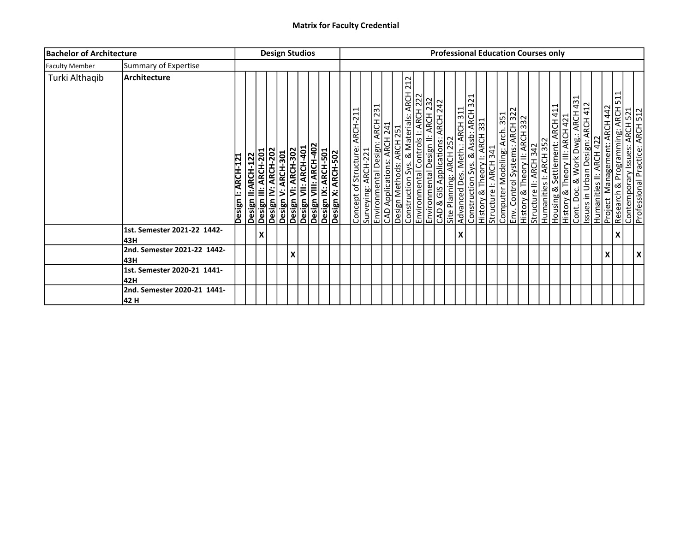| <b>Bachelor of Architecture</b> |                                      |                    |                                            | <b>Design Studios</b> |                     |                                                                                                                        |  |  |                               |                     |  |                                                                                                                                                                                                                     |                                  |                         |                               | <b>Professional Education Courses only</b>                                                                                                                                                   |  |                        |                                                                                                                                                                                      |  |  |                                                |                                                                                                     |   |
|---------------------------------|--------------------------------------|--------------------|--------------------------------------------|-----------------------|---------------------|------------------------------------------------------------------------------------------------------------------------|--|--|-------------------------------|---------------------|--|---------------------------------------------------------------------------------------------------------------------------------------------------------------------------------------------------------------------|----------------------------------|-------------------------|-------------------------------|----------------------------------------------------------------------------------------------------------------------------------------------------------------------------------------------|--|------------------------|--------------------------------------------------------------------------------------------------------------------------------------------------------------------------------------|--|--|------------------------------------------------|-----------------------------------------------------------------------------------------------------|---|
| <b>Faculty Member</b>           | Summary of Expertise                 |                    |                                            |                       |                     |                                                                                                                        |  |  |                               |                     |  |                                                                                                                                                                                                                     |                                  |                         |                               |                                                                                                                                                                                              |  |                        |                                                                                                                                                                                      |  |  |                                                |                                                                                                     |   |
| Turki Althaqib                  | Architecture                         | Design I: ARCH-121 | Design II:ARCH-122<br>Design III: ARCH-201 |                       | Design IV: ARCH-202 | <b>Design V: ARCH-301</b><br>Design VI: ARCH-302<br>Design VII: ARCH-401<br>Design IX: ARCH-501<br>Design IX: ARCH-501 |  |  | Concept of Structure: ARCH-21 | Surveying: ARCH-221 |  | 212<br>Environmental Design: ARCH 231<br>CAD Applications: ARCH 241<br>Design Methods: ARCH 251<br>Construction Sys. & Materials: ARCH 22<br>Environmental Design II: ARCH 222<br>Environmental Design II: ARCH 232 | CAD & GIS Applications: ARCH 242 | Site Planning: ARCH 252 | Advanced Des. Meth.: ARCH 311 | Construction Sys. & Assb: ARCH 321<br>History & Theory I: ARCH 331<br>Structure I: ARCH 341<br>Computer Modeling: Arch 351<br>History & Theory II: ARCH 322<br>History & Theory II: ARCH 332 |  | Structure II: ARCH 342 | Humanities I: ARCH 352<br>Housing & Settlement: ARCH 411<br>History & Theory III: ARCH 421<br>Issues in Urban Design: ARCH 431<br>Humanities II: ARCH 422<br>Humanities II: ARCH 422 |  |  | ⊣<br><b>ARCH 442</b><br>Management:<br>Project | Research & Programming: ARCH 51<br>Contemporary Issues: ARCH 521<br>Professional Practice: ARCH 512 |   |
|                                 | 1st. Semester 2021-22 1442-<br>l43H  |                    |                                            | Χ                     |                     |                                                                                                                        |  |  |                               |                     |  |                                                                                                                                                                                                                     |                                  |                         | X                             |                                                                                                                                                                                              |  |                        |                                                                                                                                                                                      |  |  |                                                |                                                                                                     |   |
|                                 | 2nd. Semester 2021-22 1442-<br>l43H  |                    |                                            |                       |                     | X                                                                                                                      |  |  |                               |                     |  |                                                                                                                                                                                                                     |                                  |                         |                               |                                                                                                                                                                                              |  |                        |                                                                                                                                                                                      |  |  | X                                              |                                                                                                     | X |
|                                 | 1st. Semester 2020-21 1441-<br>42H   |                    |                                            |                       |                     |                                                                                                                        |  |  |                               |                     |  |                                                                                                                                                                                                                     |                                  |                         |                               |                                                                                                                                                                                              |  |                        |                                                                                                                                                                                      |  |  |                                                |                                                                                                     |   |
|                                 | 2nd. Semester 2020-21 1441-<br> 42 H |                    |                                            |                       |                     |                                                                                                                        |  |  |                               |                     |  |                                                                                                                                                                                                                     |                                  |                         |                               |                                                                                                                                                                                              |  |                        |                                                                                                                                                                                      |  |  |                                                |                                                                                                     |   |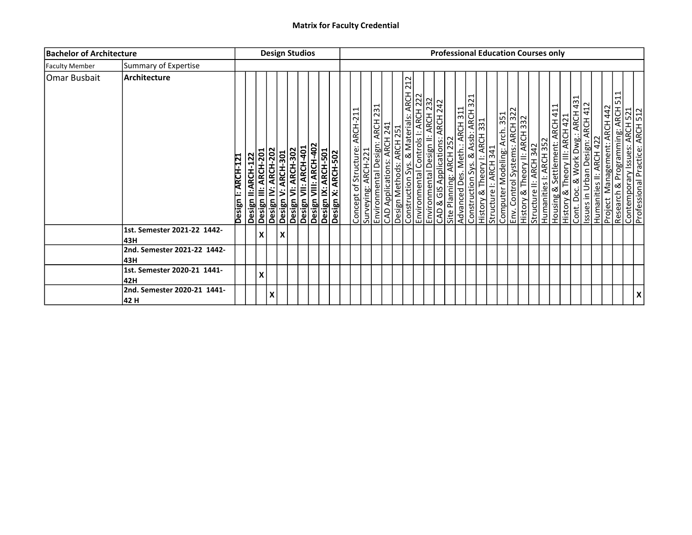| <b>Bachelor of Architecture</b> |                                      |                    |                           | <b>Design Studios</b>                       |                    |                                                                                                                  |  |  |                               |                     |  |                                                                                                                                                                                                                     |  |                                                             |                               |  |  | <b>Professional Education Courses only</b>                                                                                                                      |                        |  |                                                                                                                                                                                                    |  |                                                                                                          |  |
|---------------------------------|--------------------------------------|--------------------|---------------------------|---------------------------------------------|--------------------|------------------------------------------------------------------------------------------------------------------|--|--|-------------------------------|---------------------|--|---------------------------------------------------------------------------------------------------------------------------------------------------------------------------------------------------------------------|--|-------------------------------------------------------------|-------------------------------|--|--|-----------------------------------------------------------------------------------------------------------------------------------------------------------------|------------------------|--|----------------------------------------------------------------------------------------------------------------------------------------------------------------------------------------------------|--|----------------------------------------------------------------------------------------------------------|--|
| <b>Faculty Member</b>           | Summary of Expertise                 |                    |                           |                                             |                    |                                                                                                                  |  |  |                               |                     |  |                                                                                                                                                                                                                     |  |                                                             |                               |  |  |                                                                                                                                                                 |                        |  |                                                                                                                                                                                                    |  |                                                                                                          |  |
| Omar Busbait                    | <b>Architecture</b>                  | Design I: ARCH-121 | <b>Design II:ARCH-122</b> | Design IV: ARCH-202<br>Design III: ARCH-201 | Design V: ARCH-301 | Desiğn VI: ARCH-302<br>Design VII: ARCH-401<br>Design VIII: ARCH-402<br>Design X: ARCH-501<br>Design X: ARCH-502 |  |  | Concept of Structure: ARCH-21 | Surveying: ARCH-221 |  | 212<br>Environmental Design: ARCH 231<br>CAD Applications: ARCH 241<br>Design Methods: ARCH 251<br>Construction Sys. & Materials: ARCH 22<br>Environmental Design II: ARCH 222<br>Environmental Design II: ARCH 232 |  | CAD & GIS Applications: ARCH 242<br>Site Planning: ARCH 252 | Advanced Des. Meth.: ARCH 311 |  |  | Construction Sys. & Assb: ARCH 321<br> History & Theory I: ARCH 331<br> Structure I: ARCH 341<br> Computer Modeling: Arch 351<br> History & Theory II: ARCH 322 | Structure II: ARCH 342 |  | Humanities I: ARCH 352<br>Housing & Settlement: ARCH 411<br>History & Theory III: ARCH 421<br>Cont. Doc. & Work Dwg.: ARCH 431<br>Issues in Urban Design: ARCH 412<br>Project Management: ARCH 442 |  | ⊣<br>Reséarch & Programming: ARCH 51<br>Contemporary Issues: ARCH 521<br>Professional Practice: ARCH 512 |  |
|                                 | 1st. Semester 2021-22 1442-<br>l43H  |                    |                           | X                                           | X                  |                                                                                                                  |  |  |                               |                     |  |                                                                                                                                                                                                                     |  |                                                             |                               |  |  |                                                                                                                                                                 |                        |  |                                                                                                                                                                                                    |  |                                                                                                          |  |
|                                 | 2nd. Semester 2021-22 1442-<br> 43H  |                    |                           |                                             |                    |                                                                                                                  |  |  |                               |                     |  |                                                                                                                                                                                                                     |  |                                                             |                               |  |  |                                                                                                                                                                 |                        |  |                                                                                                                                                                                                    |  |                                                                                                          |  |
|                                 | 1st. Semester 2020-21 1441-<br>42H   |                    |                           | x                                           |                    |                                                                                                                  |  |  |                               |                     |  |                                                                                                                                                                                                                     |  |                                                             |                               |  |  |                                                                                                                                                                 |                        |  |                                                                                                                                                                                                    |  |                                                                                                          |  |
|                                 | 2nd. Semester 2020-21 1441-<br> 42 H |                    |                           | X                                           |                    |                                                                                                                  |  |  |                               |                     |  |                                                                                                                                                                                                                     |  |                                                             |                               |  |  |                                                                                                                                                                 |                        |  |                                                                                                                                                                                                    |  |                                                                                                          |  |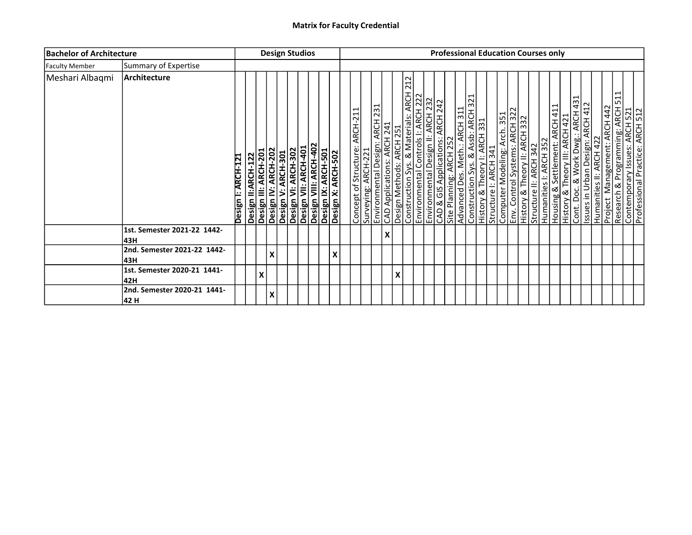| <b>Bachelor of Architecture</b> |                                      |                    |                                            |                     | <b>Design Studios</b> |                                                                                                                  |   |                               |                     |   |   |                                                                                                                                                                                                                     |  |                                                             |                               |  |  | <b>Professional Education Courses only</b>                                                                                                                                                        |                        |  |                                                                                                                                                                                           |  |   |                                                                                                     |
|---------------------------------|--------------------------------------|--------------------|--------------------------------------------|---------------------|-----------------------|------------------------------------------------------------------------------------------------------------------|---|-------------------------------|---------------------|---|---|---------------------------------------------------------------------------------------------------------------------------------------------------------------------------------------------------------------------|--|-------------------------------------------------------------|-------------------------------|--|--|---------------------------------------------------------------------------------------------------------------------------------------------------------------------------------------------------|------------------------|--|-------------------------------------------------------------------------------------------------------------------------------------------------------------------------------------------|--|---|-----------------------------------------------------------------------------------------------------|
| <b>Faculty Member</b>           | Summary of Expertise                 |                    |                                            |                     |                       |                                                                                                                  |   |                               |                     |   |   |                                                                                                                                                                                                                     |  |                                                             |                               |  |  |                                                                                                                                                                                                   |                        |  |                                                                                                                                                                                           |  |   |                                                                                                     |
| Meshari Albaqmi                 | Architecture                         | Design I: ARCH-121 | Design II:ARCH-122<br>Design III: ARCH-201 | Design IV: ARCH-202 | Design V: ARCH-301    | Desiğn VI: ARCH-302<br>Design VII: ARCH-401<br>Design VIII: ARCH-402<br>Design X: ARCH-501<br>Design X: ARCH-502 |   | Concept of Structure: ARCH-21 | Surveying: ARCH-221 |   |   | 212<br>Environmental Design: ARCH 231<br>CAD Applications: ARCH 241<br>Design Methods: ARCH 251<br>Construction Sys. & Materials: ARCH 22<br>Environmental Design II: ARCH 222<br>Environmental Design II: ARCH 232 |  | CAD & GIS Applications: ARCH 242<br>Site Planning: ARCH 252 | Advanced Des. Meth.: ARCH 311 |  |  | Construction Sys. & Assb: ARCH 321<br> History & Theory I: ARCH 331<br> Structure I: ARCH 341<br> Computer Modeling: Arch 351<br> History & Theory II: ARCH 322<br> History & Theory II: ARCH 332 | Structure II: ARCH 342 |  | Humanities I: ARCH 352<br>Housing & Settlement: ARCH 411<br>History & Theory III: ARCH 421<br>Issues in Urban Design: ARCH 412<br>Humanities II: ARCH 422<br>Project Management: ARCH 442 |  | ⊣ | Research & Programming: ARCH 51<br>Contemporary Issues: ARCH 521<br>Professional Practice: ARCH 522 |
|                                 | 1st. Semester 2021-22 1442-<br>l43H  |                    |                                            |                     |                       |                                                                                                                  |   |                               |                     | X |   |                                                                                                                                                                                                                     |  |                                                             |                               |  |  |                                                                                                                                                                                                   |                        |  |                                                                                                                                                                                           |  |   |                                                                                                     |
|                                 | 2nd. Semester 2021-22 1442-<br>l43H  |                    |                                            | $\pmb{\mathsf{X}}$  |                       |                                                                                                                  | X |                               |                     |   |   |                                                                                                                                                                                                                     |  |                                                             |                               |  |  |                                                                                                                                                                                                   |                        |  |                                                                                                                                                                                           |  |   |                                                                                                     |
|                                 | 1st. Semester 2020-21 1441-<br>42H   |                    | Χ                                          |                     |                       |                                                                                                                  |   |                               |                     |   | X |                                                                                                                                                                                                                     |  |                                                             |                               |  |  |                                                                                                                                                                                                   |                        |  |                                                                                                                                                                                           |  |   |                                                                                                     |
|                                 | 2nd. Semester 2020-21 1441-<br> 42 H |                    |                                            | X                   |                       |                                                                                                                  |   |                               |                     |   |   |                                                                                                                                                                                                                     |  |                                                             |                               |  |  |                                                                                                                                                                                                   |                        |  |                                                                                                                                                                                           |  |   |                                                                                                     |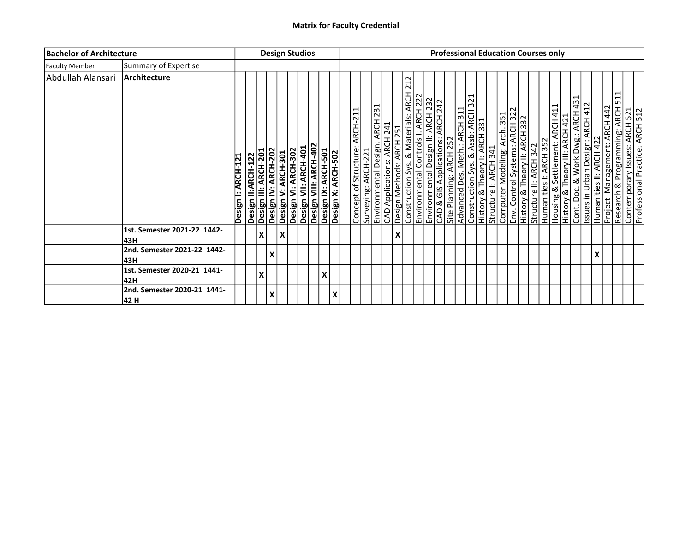| <b>Bachelor of Architecture</b> |                                     |                    |                    | <b>Design Studios</b>                       |                           |                                                                                                                        |   |   |                               |                     |                           |                                                                                                                                                                                                                     |  |                                  |                                                          |  | <b>Professional Education Courses only</b>                                                                                                                                                        |  |                        |                                                          |                                                                                                                                   |  |   |                                           |                                                                                                          |  |
|---------------------------------|-------------------------------------|--------------------|--------------------|---------------------------------------------|---------------------------|------------------------------------------------------------------------------------------------------------------------|---|---|-------------------------------|---------------------|---------------------------|---------------------------------------------------------------------------------------------------------------------------------------------------------------------------------------------------------------------|--|----------------------------------|----------------------------------------------------------|--|---------------------------------------------------------------------------------------------------------------------------------------------------------------------------------------------------|--|------------------------|----------------------------------------------------------|-----------------------------------------------------------------------------------------------------------------------------------|--|---|-------------------------------------------|----------------------------------------------------------------------------------------------------------|--|
| <b>Faculty Member</b>           | Summary of Expertise                |                    |                    |                                             |                           |                                                                                                                        |   |   |                               |                     |                           |                                                                                                                                                                                                                     |  |                                  |                                                          |  |                                                                                                                                                                                                   |  |                        |                                                          |                                                                                                                                   |  |   |                                           |                                                                                                          |  |
| Abdullah Alansari               | Architecture                        | Design I: ARCH-121 | Design II:ARCH-122 | Design IV: ARCH-202<br>Design III: ARCH-201 |                           | <b>Design V: ARCH-301</b><br>Design VI: ARCH-302<br>Design VII: ARCH-401<br>Design IX: ARCH-501<br>Design IX: ARCH-501 |   |   | Concept of Structure: ARCH-21 | Surveying: ARCH-221 |                           | 212<br>Environmental Design: ARCH 231<br>CAD Applications: ARCH 241<br>Design Methods: ARCH 251<br>Construction Sys. & Materials: ARCH 22<br>Environmental Design II: ARCH 222<br>Environmental Design II: ARCH 232 |  | CAD & GIS Applications: ARCH 242 | Advanced Des. Meth.: ARCH 311<br>Site Planning: ARCH 252 |  | Construction Sys. & Assb: ARCH 321<br> History & Theory I: ARCH 331<br> Structure I: ARCH 341<br> Computer Modeling: Arch 351<br> History & Theory II: ARCH 322<br> History & Theory II: ARCH 332 |  | Structure II: ARCH 342 | Humanities I: ARCH 352<br>Housing & Settlement: ARCH 411 | History & Theory III: ARCH 421<br>Cont. Doc. & Work Dwg.: ARCH 431<br>Issues in Urban Design: ARCH 431<br>Humanities II: ARCH 422 |  |   | <b>ARCH 442</b><br>Management:<br>Project | ⊣<br>Research & Programming: ARCH 51<br>Contemporary Issues: ARCH 521<br>Professional Practice: ARCH 522 |  |
|                                 | 1st. Semester 2021-22 1442-<br>43H  |                    |                    | X                                           | $\boldsymbol{\mathsf{X}}$ |                                                                                                                        |   |   |                               |                     | $\boldsymbol{\mathsf{x}}$ |                                                                                                                                                                                                                     |  |                                  |                                                          |  |                                                                                                                                                                                                   |  |                        |                                                          |                                                                                                                                   |  |   |                                           |                                                                                                          |  |
|                                 | 2nd. Semester 2021-22 1442-<br>l43H |                    |                    | X                                           |                           |                                                                                                                        |   |   |                               |                     |                           |                                                                                                                                                                                                                     |  |                                  |                                                          |  |                                                                                                                                                                                                   |  |                        |                                                          |                                                                                                                                   |  | v |                                           |                                                                                                          |  |
|                                 | 1st. Semester 2020-21 1441-<br>l42H |                    |                    | X                                           |                           |                                                                                                                        | X |   |                               |                     |                           |                                                                                                                                                                                                                     |  |                                  |                                                          |  |                                                                                                                                                                                                   |  |                        |                                                          |                                                                                                                                   |  |   |                                           |                                                                                                          |  |
|                                 | 2nd. Semester 2020-21 1441-<br>42 H |                    |                    | Χ                                           |                           |                                                                                                                        |   | X |                               |                     |                           |                                                                                                                                                                                                                     |  |                                  |                                                          |  |                                                                                                                                                                                                   |  |                        |                                                          |                                                                                                                                   |  |   |                                           |                                                                                                          |  |